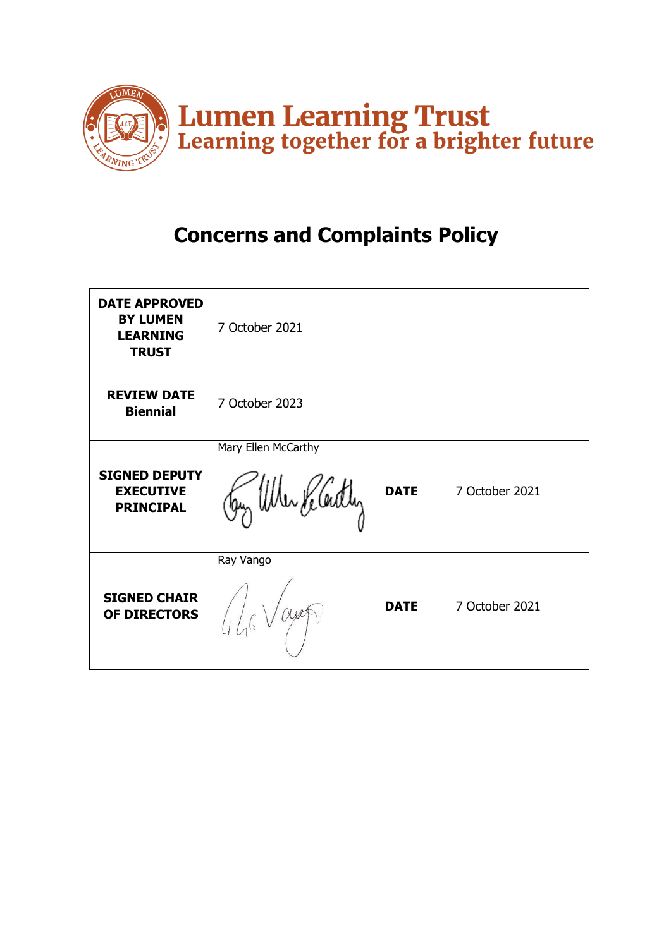

# **Concerns and Complaints Policy**

| <b>DATE APPROVED</b><br><b>BY LUMEN</b><br><b>LEARNING</b><br><b>TRUST</b> | 7 October 2021                                                      |  |  |
|----------------------------------------------------------------------------|---------------------------------------------------------------------|--|--|
| <b>REVIEW DATE</b><br><b>Biennial</b>                                      | 7 October 2023                                                      |  |  |
| <b>SIGNED DEPUTY</b><br><b>EXECUTIVE</b><br><b>PRINCIPAL</b>               | Mary Ellen McCarthy<br>Un Kelender<br><b>DATE</b><br>7 October 2021 |  |  |
| <b>SIGNED CHAIR</b><br><b>OF DIRECTORS</b>                                 | Ray Vango<br>7 October 2021<br><b>DATE</b>                          |  |  |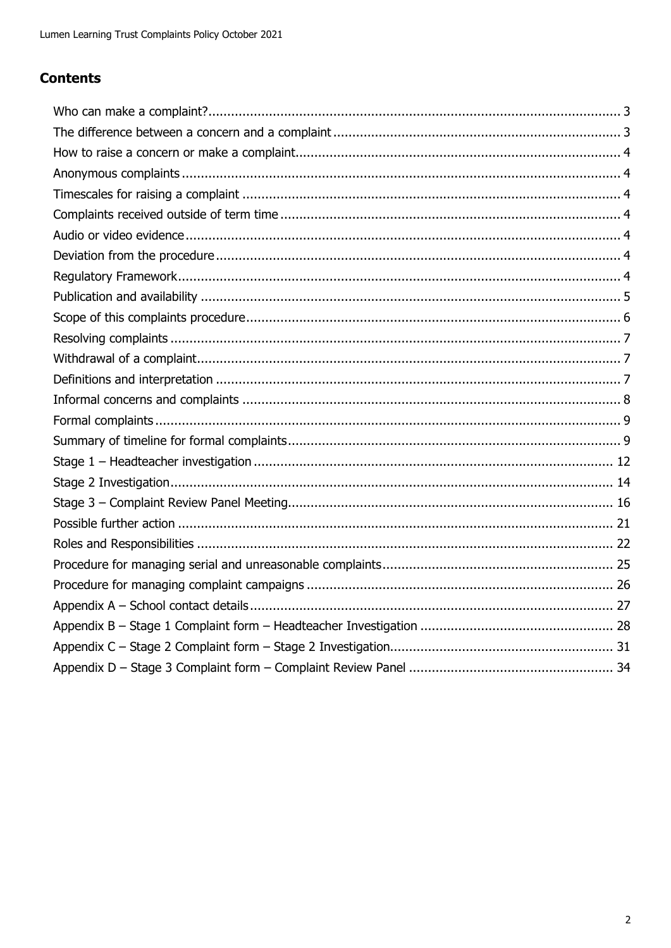# **Contents**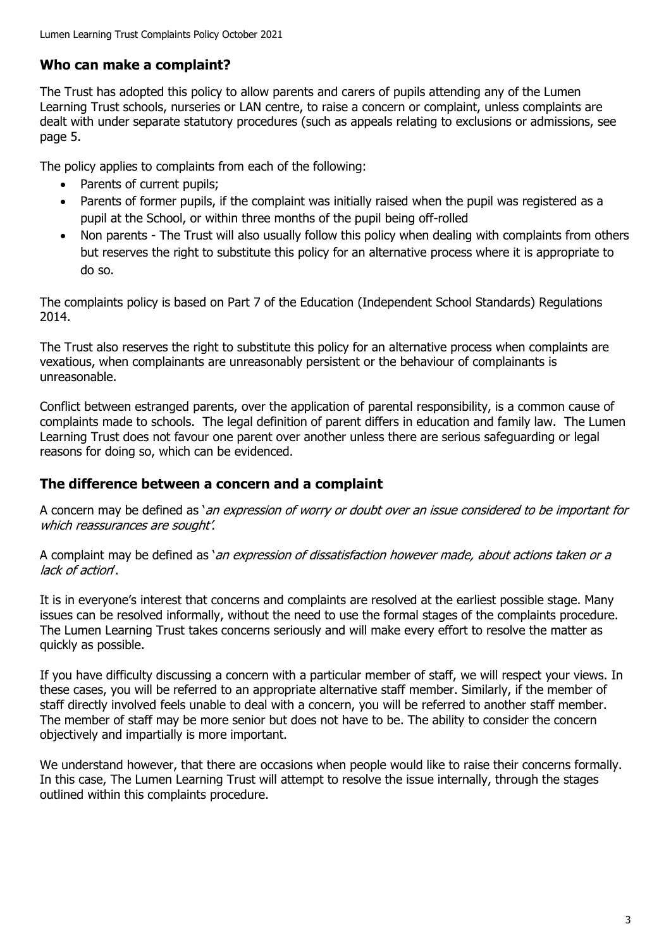# <span id="page-2-0"></span>**Who can make a complaint?**

The Trust has adopted this policy to allow parents and carers of pupils attending any of the Lumen Learning Trust schools, nurseries or LAN centre, to raise a concern or complaint, unless complaints are dealt with under separate statutory procedures (such as appeals relating to exclusions or admissions, see page 5.

The policy applies to complaints from each of the following:

- Parents of current pupils;
- Parents of former pupils, if the complaint was initially raised when the pupil was registered as a pupil at the School, or within three months of the pupil being off-rolled
- Non parents The Trust will also usually follow this policy when dealing with complaints from others but reserves the right to substitute this policy for an alternative process where it is appropriate to do so.

The complaints policy is based on Part 7 of the Education (Independent School Standards) Regulations 2014.

The Trust also reserves the right to substitute this policy for an alternative process when complaints are vexatious, when complainants are unreasonably persistent or the behaviour of complainants is unreasonable.

Conflict between estranged parents, over the application of parental responsibility, is a common cause of complaints made to schools. The legal definition of parent differs in education and family law. The Lumen Learning Trust does not favour one parent over another unless there are serious safeguarding or legal reasons for doing so, which can be evidenced.

# <span id="page-2-1"></span>**The difference between a concern and a complaint**

A concern may be defined as 'an expression of worry or doubt over an issue considered to be important for which reassurances are sought'.

A complaint may be defined as 'an expression of dissatisfaction however made, about actions taken or a lack of action'.

It is in everyone's interest that concerns and complaints are resolved at the earliest possible stage. Many issues can be resolved informally, without the need to use the formal stages of the complaints procedure. The Lumen Learning Trust takes concerns seriously and will make every effort to resolve the matter as quickly as possible.

If you have difficulty discussing a concern with a particular member of staff, we will respect your views. In these cases, you will be referred to an appropriate alternative staff member. Similarly, if the member of staff directly involved feels unable to deal with a concern, you will be referred to another staff member. The member of staff may be more senior but does not have to be. The ability to consider the concern objectively and impartially is more important.

We understand however, that there are occasions when people would like to raise their concerns formally. In this case, The Lumen Learning Trust will attempt to resolve the issue internally, through the stages outlined within this complaints procedure.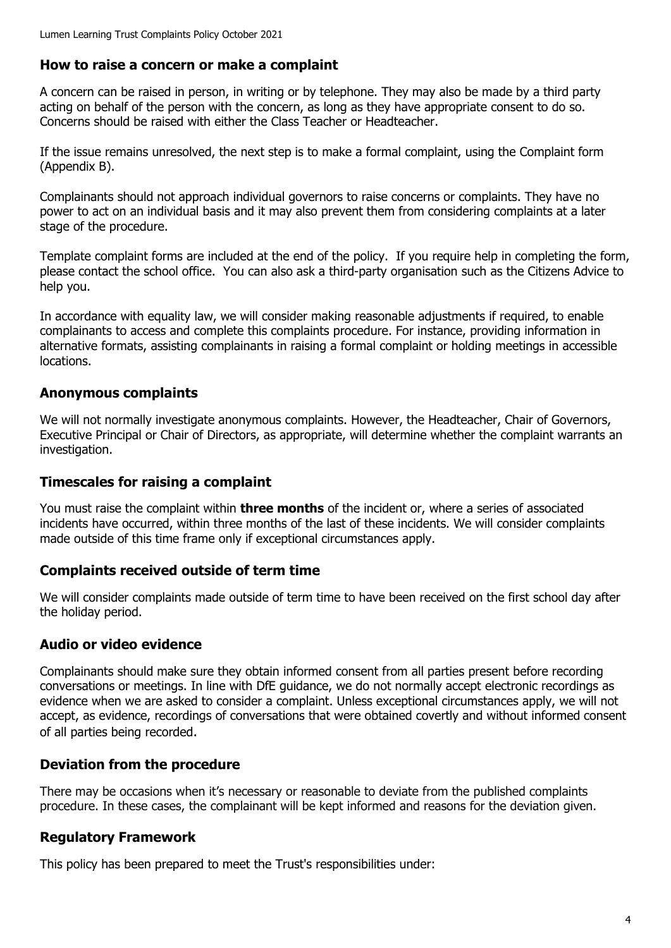### <span id="page-3-0"></span>**How to raise a concern or make a complaint**

A concern can be raised in person, in writing or by telephone. They may also be made by a third party acting on behalf of the person with the concern, as long as they have appropriate consent to do so. Concerns should be raised with either the Class Teacher or Headteacher.

If the issue remains unresolved, the next step is to make a formal complaint, using the Complaint form (Appendix B).

Complainants should not approach individual governors to raise concerns or complaints. They have no power to act on an individual basis and it may also prevent them from considering complaints at a later stage of the procedure.

Template complaint forms are included at the end of the policy. If you require help in completing the form, please contact the school office. You can also ask a third-party organisation such as the Citizens Advice to help you.

In accordance with equality law, we will consider making reasonable adjustments if required, to enable complainants to access and complete this complaints procedure. For instance, providing information in alternative formats, assisting complainants in raising a formal complaint or holding meetings in accessible locations.

#### <span id="page-3-1"></span>**Anonymous complaints**

We will not normally investigate anonymous complaints. However, the Headteacher, Chair of Governors, Executive Principal or Chair of Directors, as appropriate, will determine whether the complaint warrants an investigation.

#### <span id="page-3-2"></span>**Timescales for raising a complaint**

You must raise the complaint within **three months** of the incident or, where a series of associated incidents have occurred, within three months of the last of these incidents. We will consider complaints made outside of this time frame only if exceptional circumstances apply.

#### <span id="page-3-3"></span>**Complaints received outside of term time**

We will consider complaints made outside of term time to have been received on the first school day after the holiday period.

#### <span id="page-3-4"></span>**Audio or video evidence**

Complainants should make sure they obtain informed consent from all parties present before recording conversations or meetings. In line with DfE guidance, we do not normally accept electronic recordings as evidence when we are asked to consider a complaint. Unless exceptional circumstances apply, we will not accept, as evidence, recordings of conversations that were obtained covertly and without informed consent of all parties being recorded.

# <span id="page-3-5"></span>**Deviation from the procedure**

There may be occasions when it's necessary or reasonable to deviate from the published complaints procedure. In these cases, the complainant will be kept informed and reasons for the deviation given.

# <span id="page-3-6"></span>**Regulatory Framework**

This policy has been prepared to meet the Trust's responsibilities under: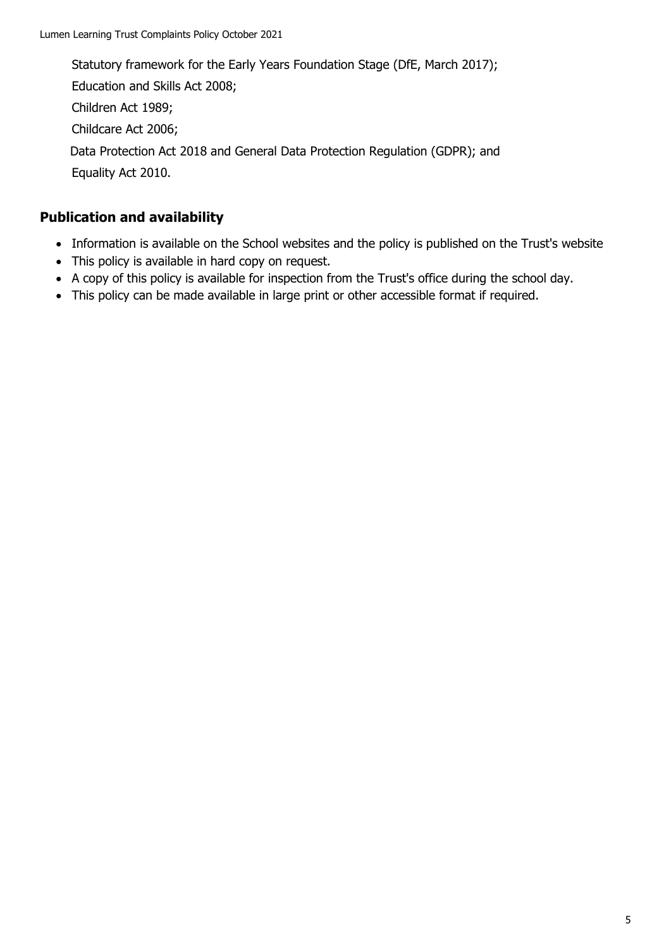Statutory framework for the Early Years Foundation Stage (DfE, March 2017); Education and Skills Act 2008; Children Act 1989; Childcare Act 2006; Data Protection Act 2018 and General Data Protection Regulation (GDPR); and Equality Act 2010.

# <span id="page-4-0"></span>**Publication and availability**

- Information is available on the School websites and the policy is published on the Trust's website
- This policy is available in hard copy on request.
- A copy of this policy is available for inspection from the Trust's office during the school day.
- This policy can be made available in large print or other accessible format if required.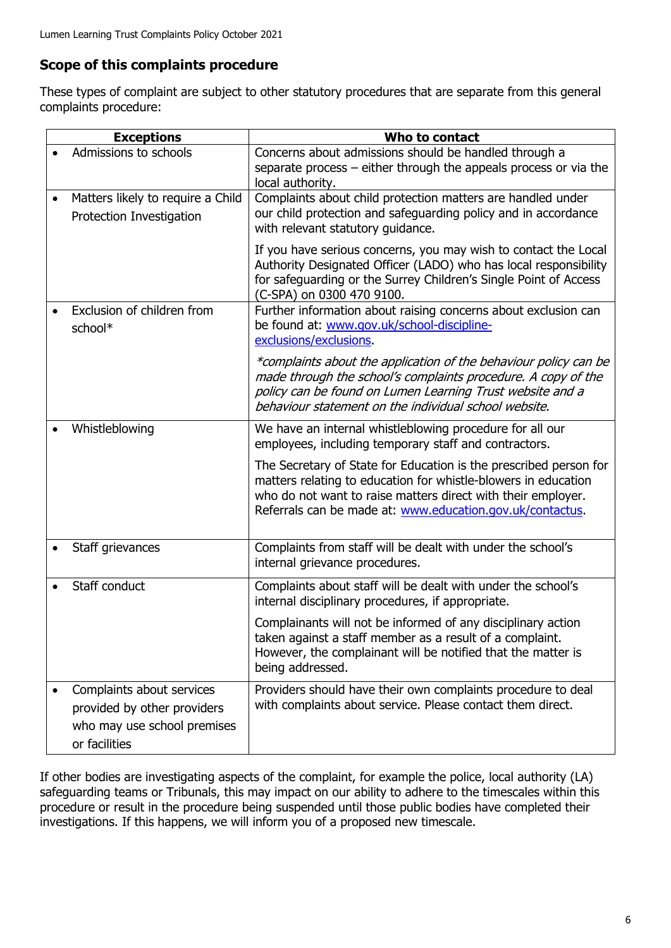# <span id="page-5-0"></span>**Scope of this complaints procedure**

These types of complaint are subject to other statutory procedures that are separate from this general complaints procedure:

| <b>Exceptions</b>                                                                                        | Who to contact                                                                                                                                                                                                                                                   |
|----------------------------------------------------------------------------------------------------------|------------------------------------------------------------------------------------------------------------------------------------------------------------------------------------------------------------------------------------------------------------------|
| Admissions to schools                                                                                    | Concerns about admissions should be handled through a<br>separate process $-$ either through the appeals process or via the<br>local authority.                                                                                                                  |
| Matters likely to require a Child<br>Protection Investigation                                            | Complaints about child protection matters are handled under<br>our child protection and safeguarding policy and in accordance<br>with relevant statutory guidance.                                                                                               |
|                                                                                                          | If you have serious concerns, you may wish to contact the Local<br>Authority Designated Officer (LADO) who has local responsibility<br>for safeguarding or the Surrey Children's Single Point of Access<br>(C-SPA) on 0300 470 9100.                             |
| Exclusion of children from<br>school*                                                                    | Further information about raising concerns about exclusion can<br>be found at: www.gov.uk/school-discipline-<br>exclusions/exclusions.                                                                                                                           |
|                                                                                                          | *complaints about the application of the behaviour policy can be<br>made through the school's complaints procedure. A copy of the<br>policy can be found on Lumen Learning Trust website and a<br>behaviour statement on the individual school website.          |
| Whistleblowing                                                                                           | We have an internal whistleblowing procedure for all our<br>employees, including temporary staff and contractors.                                                                                                                                                |
|                                                                                                          | The Secretary of State for Education is the prescribed person for<br>matters relating to education for whistle-blowers in education<br>who do not want to raise matters direct with their employer.<br>Referrals can be made at: www.education.gov.uk/contactus. |
| Staff grievances                                                                                         | Complaints from staff will be dealt with under the school's<br>internal grievance procedures.                                                                                                                                                                    |
| Staff conduct                                                                                            | Complaints about staff will be dealt with under the school's<br>internal disciplinary procedures, if appropriate.                                                                                                                                                |
|                                                                                                          | Complainants will not be informed of any disciplinary action<br>taken against a staff member as a result of a complaint.<br>However, the complainant will be notified that the matter is<br>being addressed.                                                     |
| Complaints about services<br>provided by other providers<br>who may use school premises<br>or facilities | Providers should have their own complaints procedure to deal<br>with complaints about service. Please contact them direct.                                                                                                                                       |

If other bodies are investigating aspects of the complaint, for example the police, local authority (LA) safeguarding teams or Tribunals, this may impact on our ability to adhere to the timescales within this procedure or result in the procedure being suspended until those public bodies have completed their investigations. If this happens, we will inform you of a proposed new timescale.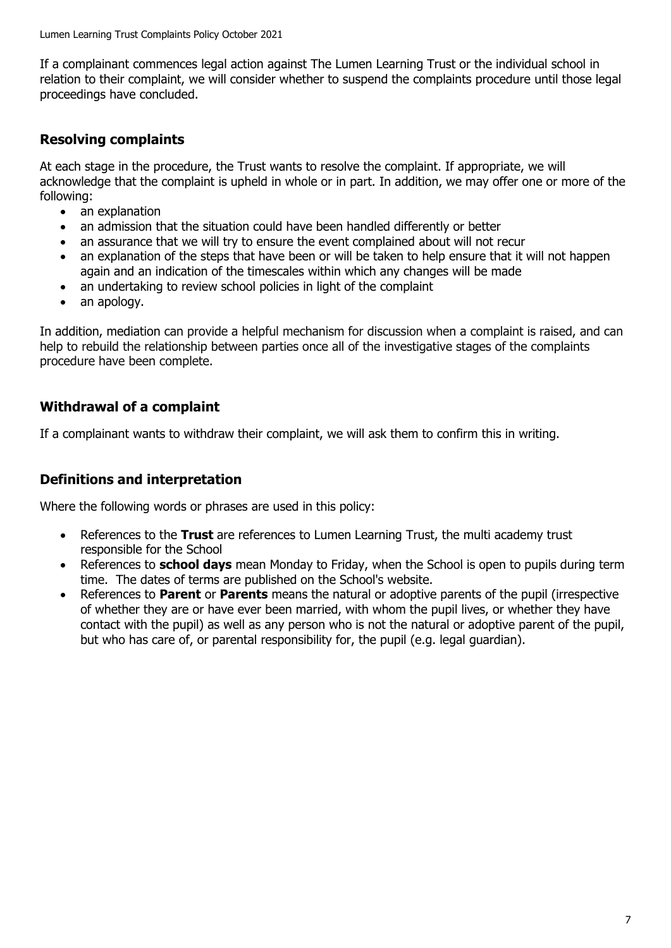If a complainant commences legal action against The Lumen Learning Trust or the individual school in relation to their complaint, we will consider whether to suspend the complaints procedure until those legal proceedings have concluded.

# <span id="page-6-0"></span>**Resolving complaints**

At each stage in the procedure, the Trust wants to resolve the complaint. If appropriate, we will acknowledge that the complaint is upheld in whole or in part. In addition, we may offer one or more of the following:

- an explanation
- an admission that the situation could have been handled differently or better
- an assurance that we will try to ensure the event complained about will not recur
- an explanation of the steps that have been or will be taken to help ensure that it will not happen again and an indication of the timescales within which any changes will be made
- an undertaking to review school policies in light of the complaint
- an apology.

In addition, mediation can provide a helpful mechanism for discussion when a complaint is raised, and can help to rebuild the relationship between parties once all of the investigative stages of the complaints procedure have been complete.

# <span id="page-6-1"></span>**Withdrawal of a complaint**

If a complainant wants to withdraw their complaint, we will ask them to confirm this in writing.

# <span id="page-6-2"></span>**Definitions and interpretation**

Where the following words or phrases are used in this policy:

- References to the **Trust** are references to Lumen Learning Trust, the multi academy trust responsible for the School
- References to **school days** mean Monday to Friday, when the School is open to pupils during term time. The dates of terms are published on the School's website.
- References to **Parent** or **Parents** means the natural or adoptive parents of the pupil (irrespective of whether they are or have ever been married, with whom the pupil lives, or whether they have contact with the pupil) as well as any person who is not the natural or adoptive parent of the pupil, but who has care of, or parental responsibility for, the pupil (e.g. legal guardian).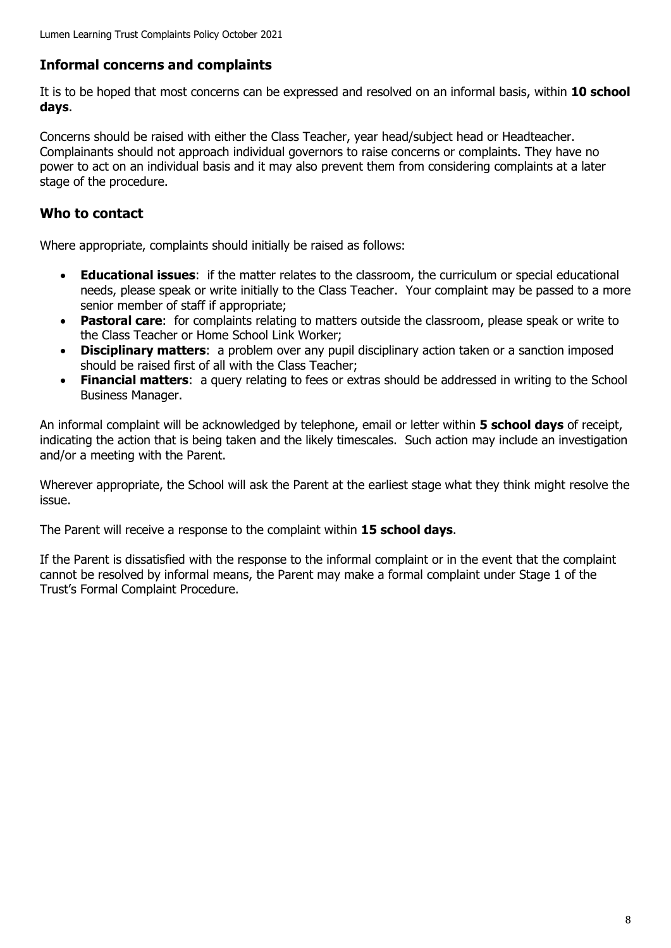# <span id="page-7-0"></span>**Informal concerns and complaints**

It is to be hoped that most concerns can be expressed and resolved on an informal basis, within **10 school days**.

Concerns should be raised with either the Class Teacher, year head/subject head or Headteacher. Complainants should not approach individual governors to raise concerns or complaints. They have no power to act on an individual basis and it may also prevent them from considering complaints at a later stage of the procedure.

# **Who to contact**

Where appropriate, complaints should initially be raised as follows:

- **Educational issues**: if the matter relates to the classroom, the curriculum or special educational needs, please speak or write initially to the Class Teacher. Your complaint may be passed to a more senior member of staff if appropriate;
- **Pastoral care**: for complaints relating to matters outside the classroom, please speak or write to the Class Teacher or Home School Link Worker;
- **Disciplinary matters:** a problem over any pupil disciplinary action taken or a sanction imposed should be raised first of all with the Class Teacher;
- **Financial matters**: a query relating to fees or extras should be addressed in writing to the School Business Manager.

An informal complaint will be acknowledged by telephone, email or letter within **5 school days** of receipt, indicating the action that is being taken and the likely timescales. Such action may include an investigation and/or a meeting with the Parent.

Wherever appropriate, the School will ask the Parent at the earliest stage what they think might resolve the issue.

The Parent will receive a response to the complaint within **15 school days**.

If the Parent is dissatisfied with the response to the informal complaint or in the event that the complaint cannot be resolved by informal means, the Parent may make a formal complaint under Stage 1 of the Trust's Formal Complaint Procedure.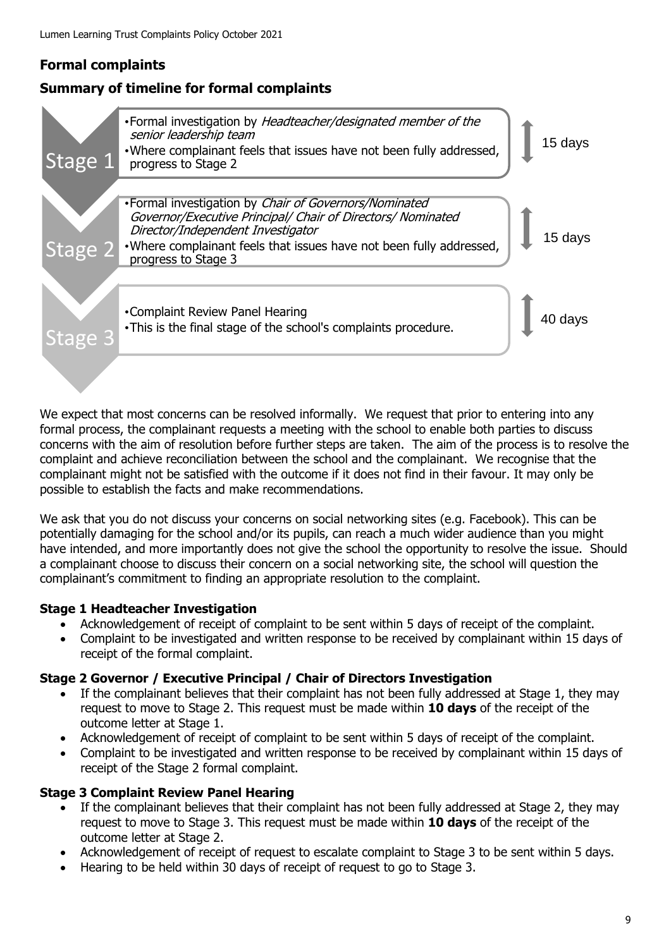# <span id="page-8-0"></span>**Formal complaints**

# <span id="page-8-1"></span>**Summary of timeline for formal complaints**



We expect that most concerns can be resolved informally. We request that prior to entering into any formal process, the complainant requests a meeting with the school to enable both parties to discuss concerns with the aim of resolution before further steps are taken. The aim of the process is to resolve the complaint and achieve reconciliation between the school and the complainant. We recognise that the complainant might not be satisfied with the outcome if it does not find in their favour. It may only be possible to establish the facts and make recommendations.

We ask that you do not discuss your concerns on social networking sites (e.g. Facebook). This can be potentially damaging for the school and/or its pupils, can reach a much wider audience than you might have intended, and more importantly does not give the school the opportunity to resolve the issue. Should a complainant choose to discuss their concern on a social networking site, the school will question the complainant's commitment to finding an appropriate resolution to the complaint.

# **Stage 1 Headteacher Investigation**

- Acknowledgement of receipt of complaint to be sent within 5 days of receipt of the complaint.
- Complaint to be investigated and written response to be received by complainant within 15 days of receipt of the formal complaint.

#### **Stage 2 Governor / Executive Principal / Chair of Directors Investigation**

- If the complainant believes that their complaint has not been fully addressed at Stage 1, they may request to move to Stage 2. This request must be made within **10 days** of the receipt of the outcome letter at Stage 1.
- Acknowledgement of receipt of complaint to be sent within 5 days of receipt of the complaint.
- Complaint to be investigated and written response to be received by complainant within 15 days of receipt of the Stage 2 formal complaint.

#### **Stage 3 Complaint Review Panel Hearing**

- If the complainant believes that their complaint has not been fully addressed at Stage 2, they may request to move to Stage 3. This request must be made within **10 days** of the receipt of the outcome letter at Stage 2.
- Acknowledgement of receipt of request to escalate complaint to Stage 3 to be sent within 5 days.
- Hearing to be held within 30 days of receipt of request to go to Stage 3.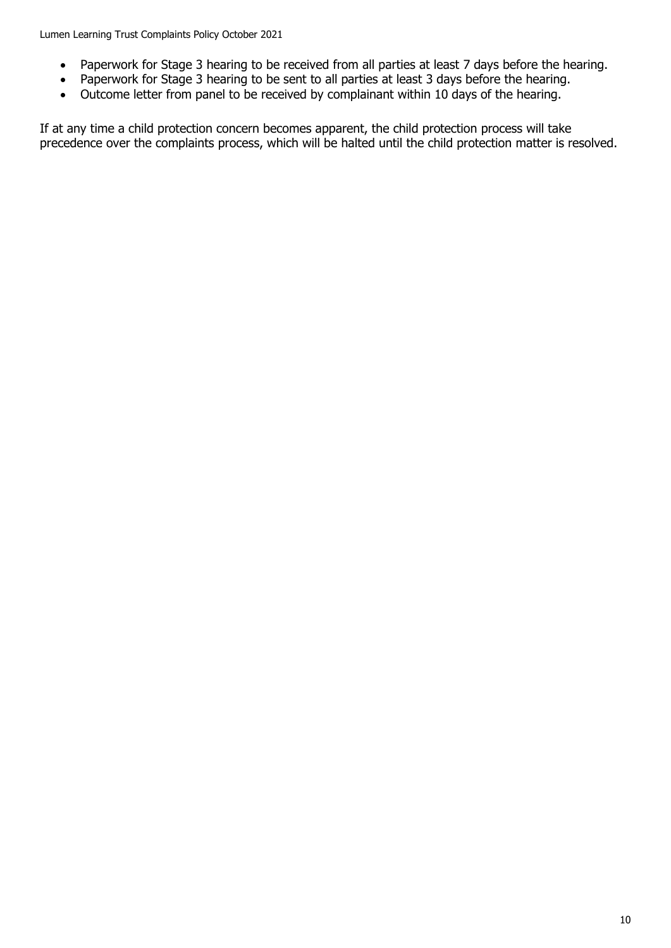Lumen Learning Trust Complaints Policy October 2021

- Paperwork for Stage 3 hearing to be received from all parties at least 7 days before the hearing.
- Paperwork for Stage 3 hearing to be sent to all parties at least 3 days before the hearing.
- Outcome letter from panel to be received by complainant within 10 days of the hearing.

If at any time a child protection concern becomes apparent, the child protection process will take precedence over the complaints process, which will be halted until the child protection matter is resolved.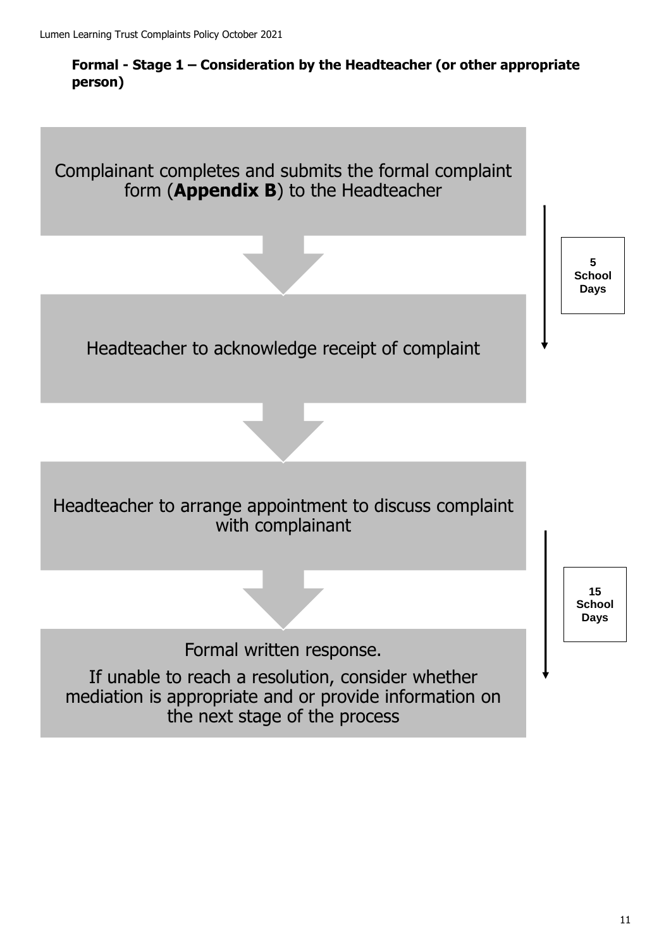

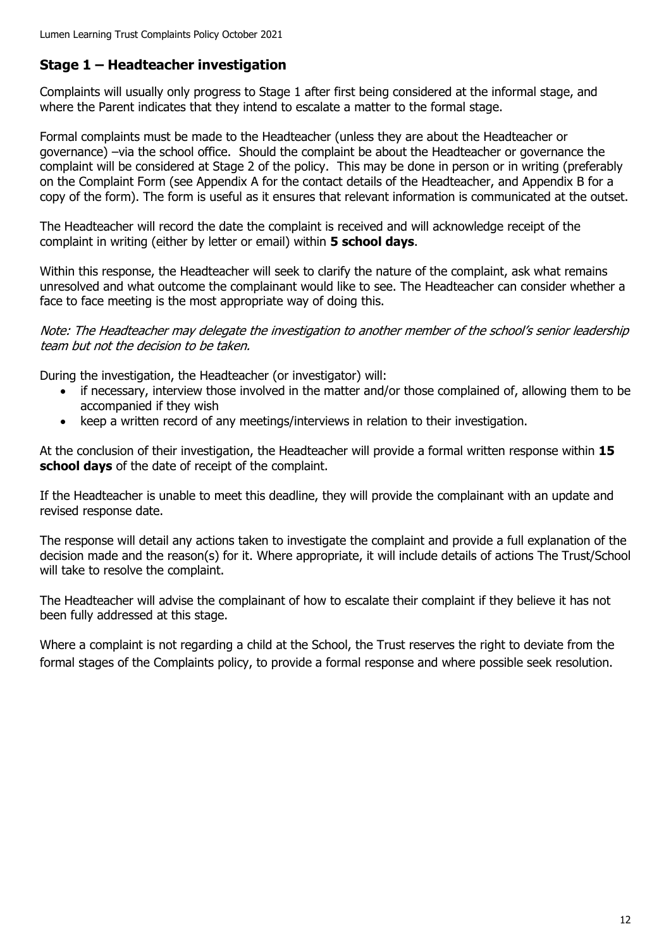# <span id="page-11-0"></span>**Stage 1 – Headteacher investigation**

Complaints will usually only progress to Stage 1 after first being considered at the informal stage, and where the Parent indicates that they intend to escalate a matter to the formal stage.

Formal complaints must be made to the Headteacher (unless they are about the Headteacher or governance) –via the school office. Should the complaint be about the Headteacher or governance the complaint will be considered at Stage 2 of the policy. This may be done in person or in writing (preferably on the Complaint Form (see Appendix A for the contact details of the Headteacher, and Appendix B for a copy of the form). The form is useful as it ensures that relevant information is communicated at the outset.

The Headteacher will record the date the complaint is received and will acknowledge receipt of the complaint in writing (either by letter or email) within **5 school days**.

Within this response, the Headteacher will seek to clarify the nature of the complaint, ask what remains unresolved and what outcome the complainant would like to see. The Headteacher can consider whether a face to face meeting is the most appropriate way of doing this.

Note: The Headteacher may delegate the investigation to another member of the school's senior leadership team but not the decision to be taken.

During the investigation, the Headteacher (or investigator) will:

- if necessary, interview those involved in the matter and/or those complained of, allowing them to be accompanied if they wish
- keep a written record of any meetings/interviews in relation to their investigation.

At the conclusion of their investigation, the Headteacher will provide a formal written response within **15 school days** of the date of receipt of the complaint.

If the Headteacher is unable to meet this deadline, they will provide the complainant with an update and revised response date.

The response will detail any actions taken to investigate the complaint and provide a full explanation of the decision made and the reason(s) for it. Where appropriate, it will include details of actions The Trust/School will take to resolve the complaint.

The Headteacher will advise the complainant of how to escalate their complaint if they believe it has not been fully addressed at this stage.

Where a complaint is not regarding a child at the School, the Trust reserves the right to deviate from the formal stages of the Complaints policy, to provide a formal response and where possible seek resolution.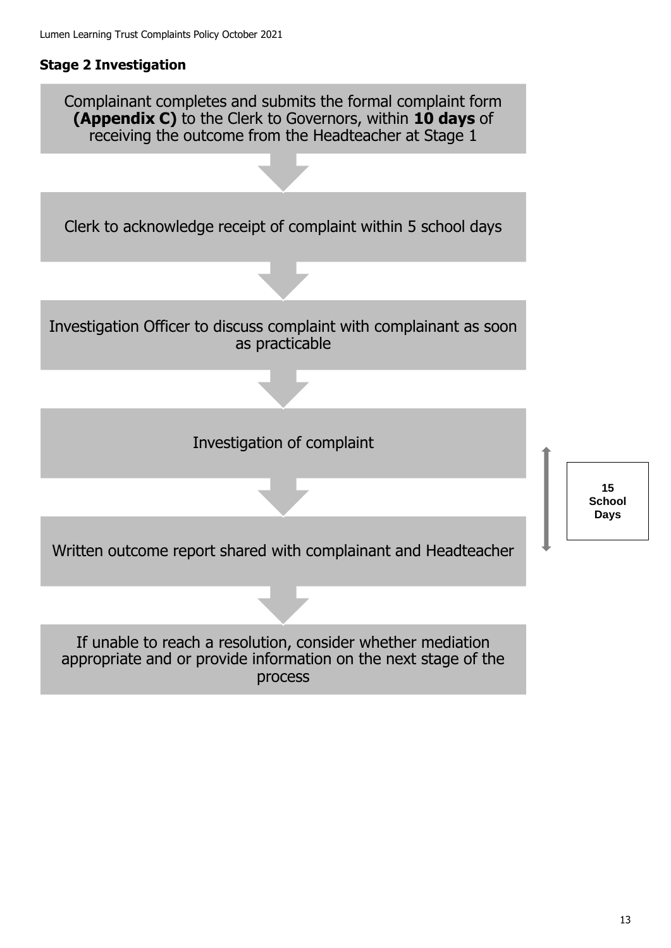# **Stage 2 Investigation**

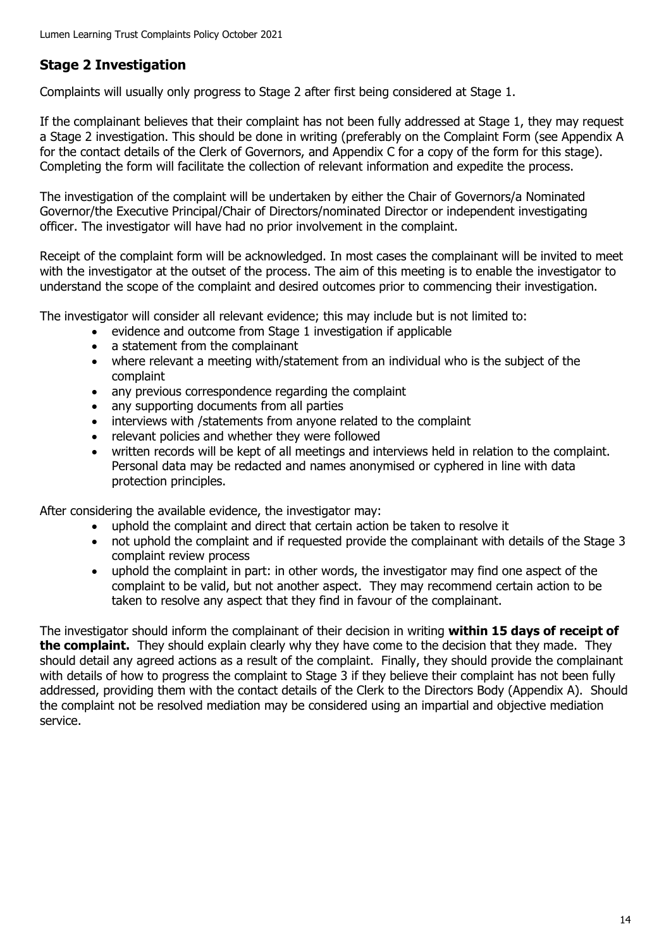# <span id="page-13-0"></span>**Stage 2 Investigation**

Complaints will usually only progress to Stage 2 after first being considered at Stage 1.

If the complainant believes that their complaint has not been fully addressed at Stage 1, they may request a Stage 2 investigation. This should be done in writing (preferably on the Complaint Form (see Appendix A for the contact details of the Clerk of Governors, and Appendix C for a copy of the form for this stage). Completing the form will facilitate the collection of relevant information and expedite the process.

The investigation of the complaint will be undertaken by either the Chair of Governors/a Nominated Governor/the Executive Principal/Chair of Directors/nominated Director or independent investigating officer. The investigator will have had no prior involvement in the complaint.

Receipt of the complaint form will be acknowledged. In most cases the complainant will be invited to meet with the investigator at the outset of the process. The aim of this meeting is to enable the investigator to understand the scope of the complaint and desired outcomes prior to commencing their investigation.

The investigator will consider all relevant evidence; this may include but is not limited to:

- evidence and outcome from Stage 1 investigation if applicable
- a statement from the complainant
- where relevant a meeting with/statement from an individual who is the subject of the complaint
- any previous correspondence regarding the complaint
- any supporting documents from all parties
- interviews with /statements from anyone related to the complaint
- relevant policies and whether they were followed
- written records will be kept of all meetings and interviews held in relation to the complaint. Personal data may be redacted and names anonymised or cyphered in line with data protection principles.

After considering the available evidence, the investigator may:

- uphold the complaint and direct that certain action be taken to resolve it
- not uphold the complaint and if requested provide the complainant with details of the Stage 3 complaint review process
- uphold the complaint in part: in other words, the investigator may find one aspect of the complaint to be valid, but not another aspect. They may recommend certain action to be taken to resolve any aspect that they find in favour of the complainant.

The investigator should inform the complainant of their decision in writing **within 15 days of receipt of the complaint.** They should explain clearly why they have come to the decision that they made. They should detail any agreed actions as a result of the complaint. Finally, they should provide the complainant with details of how to progress the complaint to Stage 3 if they believe their complaint has not been fully addressed, providing them with the contact details of the Clerk to the Directors Body (Appendix A). Should the complaint not be resolved mediation may be considered using an impartial and objective mediation service.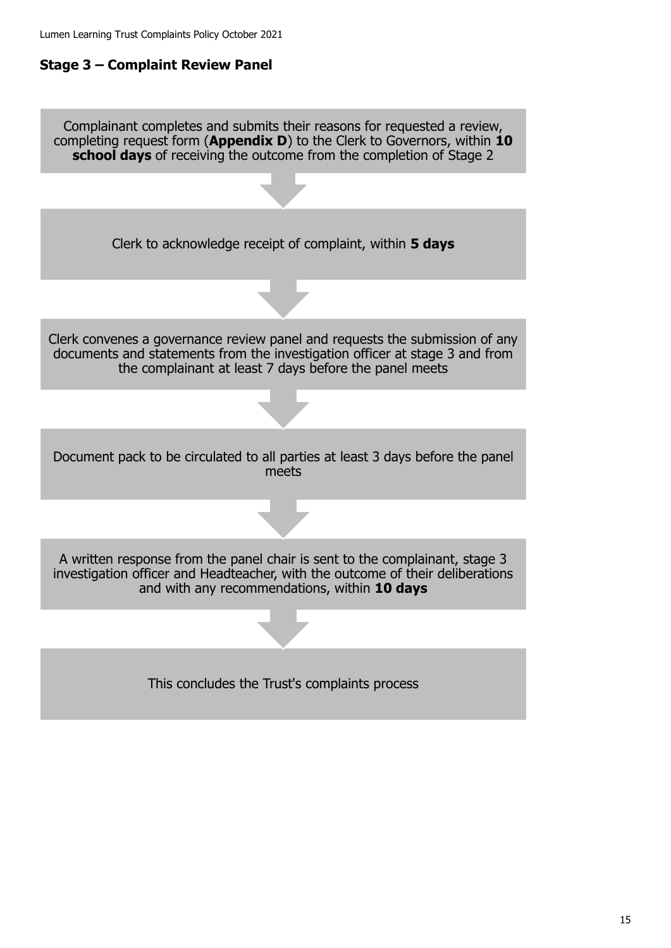# **Stage 3 – Complaint Review Panel**

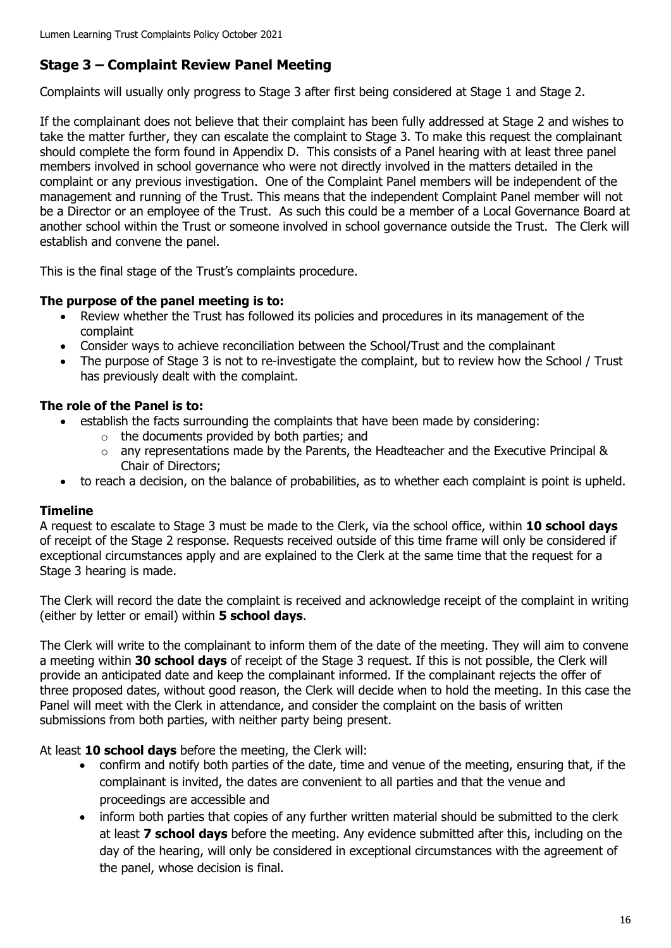# <span id="page-15-0"></span>**Stage 3 – Complaint Review Panel Meeting**

Complaints will usually only progress to Stage 3 after first being considered at Stage 1 and Stage 2.

If the complainant does not believe that their complaint has been fully addressed at Stage 2 and wishes to take the matter further, they can escalate the complaint to Stage 3. To make this request the complainant should complete the form found in Appendix D. This consists of a Panel hearing with at least three panel members involved in school governance who were not directly involved in the matters detailed in the complaint or any previous investigation. One of the Complaint Panel members will be independent of the management and running of the Trust. This means that the independent Complaint Panel member will not be a Director or an employee of the Trust. As such this could be a member of a Local Governance Board at another school within the Trust or someone involved in school governance outside the Trust. The Clerk will establish and convene the panel.

This is the final stage of the Trust's complaints procedure.

#### **The purpose of the panel meeting is to:**

- Review whether the Trust has followed its policies and procedures in its management of the complaint
- Consider ways to achieve reconciliation between the School/Trust and the complainant
- The purpose of Stage 3 is not to re-investigate the complaint, but to review how the School / Trust has previously dealt with the complaint.

#### **The role of the Panel is to:**

- establish the facts surrounding the complaints that have been made by considering:
	- $\circ$  the documents provided by both parties; and
	- o any representations made by the Parents, the Headteacher and the Executive Principal & Chair of Directors;
- to reach a decision, on the balance of probabilities, as to whether each complaint is point is upheld.

#### **Timeline**

A request to escalate to Stage 3 must be made to the Clerk, via the school office, within **10 school days** of receipt of the Stage 2 response. Requests received outside of this time frame will only be considered if exceptional circumstances apply and are explained to the Clerk at the same time that the request for a Stage 3 hearing is made.

The Clerk will record the date the complaint is received and acknowledge receipt of the complaint in writing (either by letter or email) within **5 school days**.

The Clerk will write to the complainant to inform them of the date of the meeting. They will aim to convene a meeting within **30 school days** of receipt of the Stage 3 request. If this is not possible, the Clerk will provide an anticipated date and keep the complainant informed. If the complainant rejects the offer of three proposed dates, without good reason, the Clerk will decide when to hold the meeting. In this case the Panel will meet with the Clerk in attendance, and consider the complaint on the basis of written submissions from both parties, with neither party being present.

At least **10 school days** before the meeting, the Clerk will:

- confirm and notify both parties of the date, time and venue of the meeting, ensuring that, if the complainant is invited, the dates are convenient to all parties and that the venue and proceedings are accessible and
- inform both parties that copies of any further written material should be submitted to the clerk at least **7 school days** before the meeting. Any evidence submitted after this, including on the day of the hearing, will only be considered in exceptional circumstances with the agreement of the panel, whose decision is final.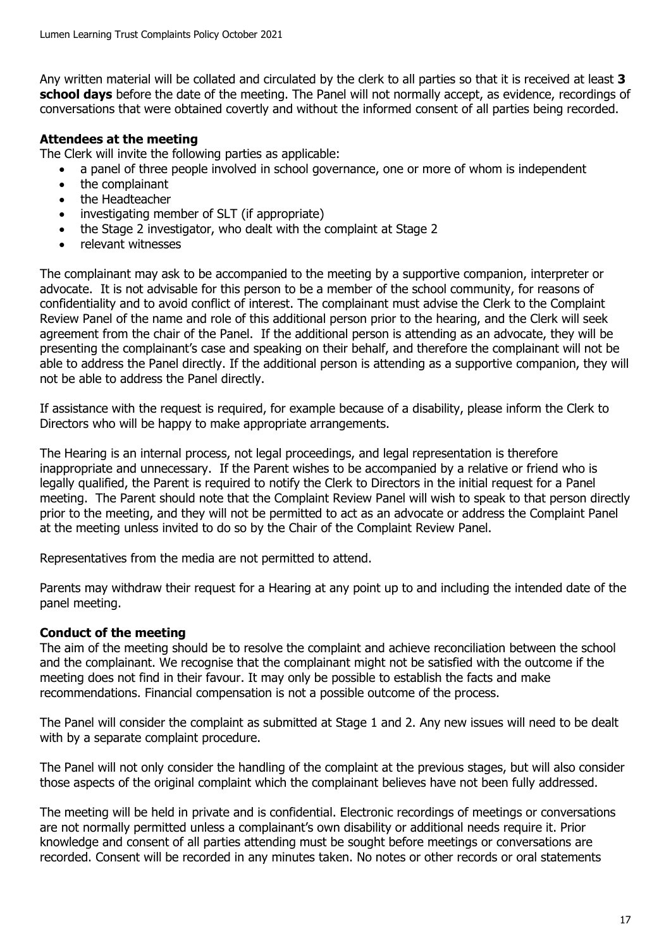Any written material will be collated and circulated by the clerk to all parties so that it is received at least **3 school days** before the date of the meeting. The Panel will not normally accept, as evidence, recordings of conversations that were obtained covertly and without the informed consent of all parties being recorded.

#### **Attendees at the meeting**

The Clerk will invite the following parties as applicable:

- a panel of three people involved in school governance, one or more of whom is independent
- the complainant
- the Headteacher
- investigating member of SLT (if appropriate)
- the Stage 2 investigator, who dealt with the complaint at Stage 2
- relevant witnesses

The complainant may ask to be accompanied to the meeting by a supportive companion, interpreter or advocate. It is not advisable for this person to be a member of the school community, for reasons of confidentiality and to avoid conflict of interest. The complainant must advise the Clerk to the Complaint Review Panel of the name and role of this additional person prior to the hearing, and the Clerk will seek agreement from the chair of the Panel. If the additional person is attending as an advocate, they will be presenting the complainant's case and speaking on their behalf, and therefore the complainant will not be able to address the Panel directly. If the additional person is attending as a supportive companion, they will not be able to address the Panel directly.

If assistance with the request is required, for example because of a disability, please inform the Clerk to Directors who will be happy to make appropriate arrangements.

The Hearing is an internal process, not legal proceedings, and legal representation is therefore inappropriate and unnecessary. If the Parent wishes to be accompanied by a relative or friend who is legally qualified, the Parent is required to notify the Clerk to Directors in the initial request for a Panel meeting. The Parent should note that the Complaint Review Panel will wish to speak to that person directly prior to the meeting, and they will not be permitted to act as an advocate or address the Complaint Panel at the meeting unless invited to do so by the Chair of the Complaint Review Panel.

Representatives from the media are not permitted to attend.

Parents may withdraw their request for a Hearing at any point up to and including the intended date of the panel meeting.

#### **Conduct of the meeting**

The aim of the meeting should be to resolve the complaint and achieve reconciliation between the school and the complainant. We recognise that the complainant might not be satisfied with the outcome if the meeting does not find in their favour. It may only be possible to establish the facts and make recommendations. Financial compensation is not a possible outcome of the process.

The Panel will consider the complaint as submitted at Stage 1 and 2. Any new issues will need to be dealt with by a separate complaint procedure.

The Panel will not only consider the handling of the complaint at the previous stages, but will also consider those aspects of the original complaint which the complainant believes have not been fully addressed.

The meeting will be held in private and is confidential. Electronic recordings of meetings or conversations are not normally permitted unless a complainant's own disability or additional needs require it. Prior knowledge and consent of all parties attending must be sought before meetings or conversations are recorded. Consent will be recorded in any minutes taken. No notes or other records or oral statements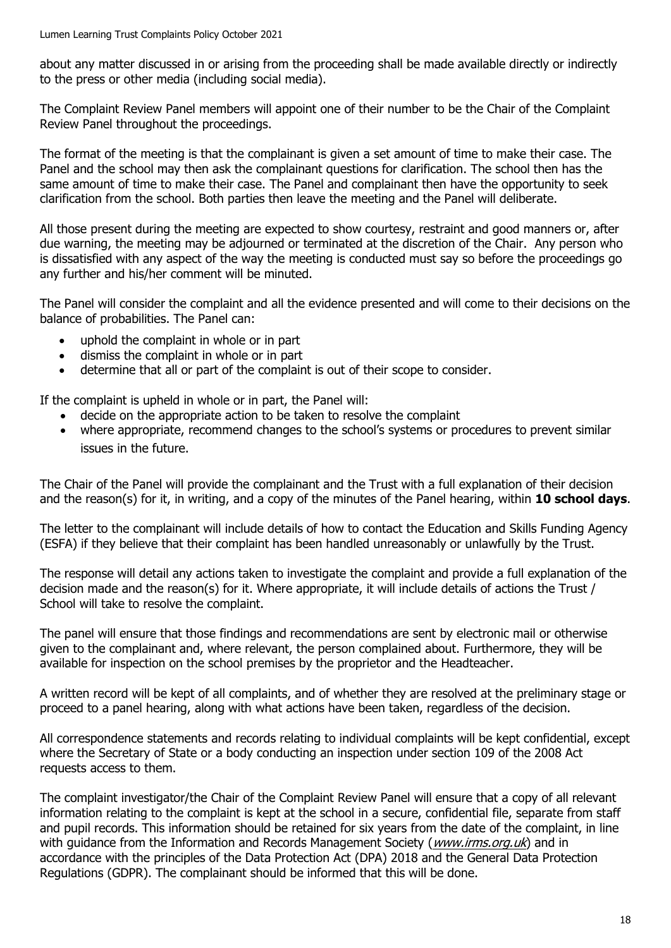about any matter discussed in or arising from the proceeding shall be made available directly or indirectly to the press or other media (including social media).

The Complaint Review Panel members will appoint one of their number to be the Chair of the Complaint Review Panel throughout the proceedings.

The format of the meeting is that the complainant is given a set amount of time to make their case. The Panel and the school may then ask the complainant questions for clarification. The school then has the same amount of time to make their case. The Panel and complainant then have the opportunity to seek clarification from the school. Both parties then leave the meeting and the Panel will deliberate.

All those present during the meeting are expected to show courtesy, restraint and good manners or, after due warning, the meeting may be adjourned or terminated at the discretion of the Chair. Any person who is dissatisfied with any aspect of the way the meeting is conducted must say so before the proceedings go any further and his/her comment will be minuted.

The Panel will consider the complaint and all the evidence presented and will come to their decisions on the balance of probabilities. The Panel can:

- uphold the complaint in whole or in part
- dismiss the complaint in whole or in part
- determine that all or part of the complaint is out of their scope to consider.

If the complaint is upheld in whole or in part, the Panel will:

- decide on the appropriate action to be taken to resolve the complaint
- where appropriate, recommend changes to the school's systems or procedures to prevent similar issues in the future.

The Chair of the Panel will provide the complainant and the Trust with a full explanation of their decision and the reason(s) for it, in writing, and a copy of the minutes of the Panel hearing, within **10 school days**.

The letter to the complainant will include details of how to contact the Education and Skills Funding Agency (ESFA) if they believe that their complaint has been handled unreasonably or unlawfully by the Trust.

The response will detail any actions taken to investigate the complaint and provide a full explanation of the decision made and the reason(s) for it. Where appropriate, it will include details of actions the Trust / School will take to resolve the complaint.

The panel will ensure that those findings and recommendations are sent by electronic mail or otherwise given to the complainant and, where relevant, the person complained about. Furthermore, they will be available for inspection on the school premises by the proprietor and the Headteacher.

A written record will be kept of all complaints, and of whether they are resolved at the preliminary stage or proceed to a panel hearing, along with what actions have been taken, regardless of the decision.

All correspondence statements and records relating to individual complaints will be kept confidential, except where the Secretary of State or a body conducting an inspection under section 109 of the 2008 Act requests access to them.

The complaint investigator/the Chair of the Complaint Review Panel will ensure that a copy of all relevant information relating to the complaint is kept at the school in a secure, confidential file, separate from staff and pupil records. This information should be retained for six years from the date of the complaint, in line with guidance from the Information and Records Management Society ([www.irms.org.uk](http://www.irms.org.uk/)) and in accordance with the principles of the Data Protection Act (DPA) 2018 and the General Data Protection Regulations (GDPR). The complainant should be informed that this will be done.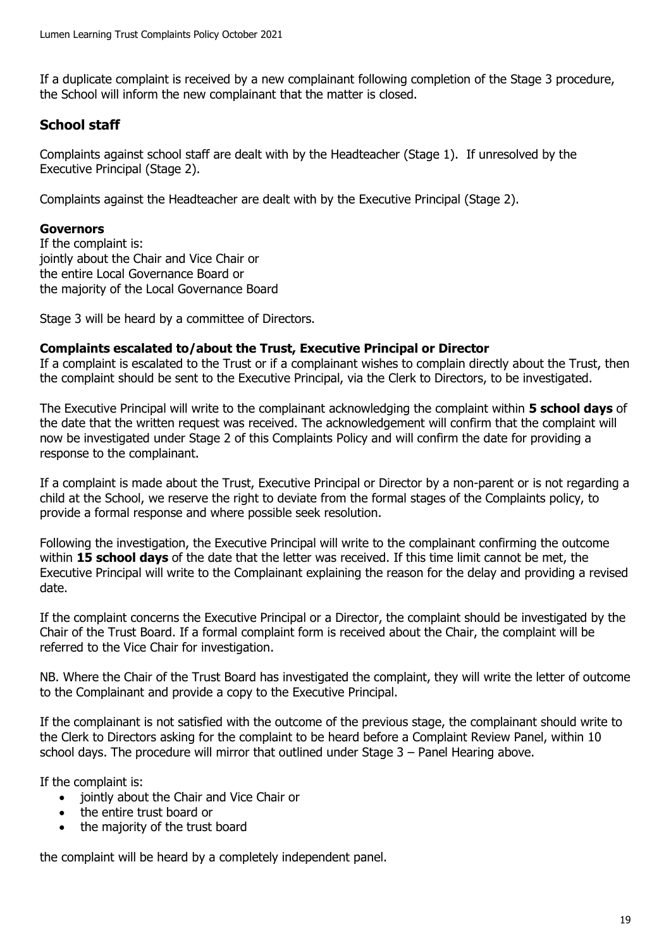If a duplicate complaint is received by a new complainant following completion of the Stage 3 procedure, the School will inform the new complainant that the matter is closed.

# **School staff**

Complaints against school staff are dealt with by the Headteacher (Stage 1). If unresolved by the Executive Principal (Stage 2).

Complaints against the Headteacher are dealt with by the Executive Principal (Stage 2).

#### **Governors**

If the complaint is: jointly about the Chair and Vice Chair or the entire Local Governance Board or the majority of the Local Governance Board

Stage 3 will be heard by a committee of Directors.

#### **Complaints escalated to/about the Trust, Executive Principal or Director**

If a complaint is escalated to the Trust or if a complainant wishes to complain directly about the Trust, then the complaint should be sent to the Executive Principal, via the Clerk to Directors, to be investigated.

The Executive Principal will write to the complainant acknowledging the complaint within **5 school days** of the date that the written request was received. The acknowledgement will confirm that the complaint will now be investigated under Stage 2 of this Complaints Policy and will confirm the date for providing a response to the complainant.

If a complaint is made about the Trust, Executive Principal or Director by a non-parent or is not regarding a child at the School, we reserve the right to deviate from the formal stages of the Complaints policy, to provide a formal response and where possible seek resolution.

Following the investigation, the Executive Principal will write to the complainant confirming the outcome within **15 school days** of the date that the letter was received. If this time limit cannot be met, the Executive Principal will write to the Complainant explaining the reason for the delay and providing a revised date.

If the complaint concerns the Executive Principal or a Director, the complaint should be investigated by the Chair of the Trust Board. If a formal complaint form is received about the Chair, the complaint will be referred to the Vice Chair for investigation.

NB. Where the Chair of the Trust Board has investigated the complaint, they will write the letter of outcome to the Complainant and provide a copy to the Executive Principal.

If the complainant is not satisfied with the outcome of the previous stage, the complainant should write to the Clerk to Directors asking for the complaint to be heard before a Complaint Review Panel, within 10 school days. The procedure will mirror that outlined under Stage 3 – Panel Hearing above.

If the complaint is:

- iointly about the Chair and Vice Chair or
- the entire trust board or
- the majority of the trust board

the complaint will be heard by a completely independent panel.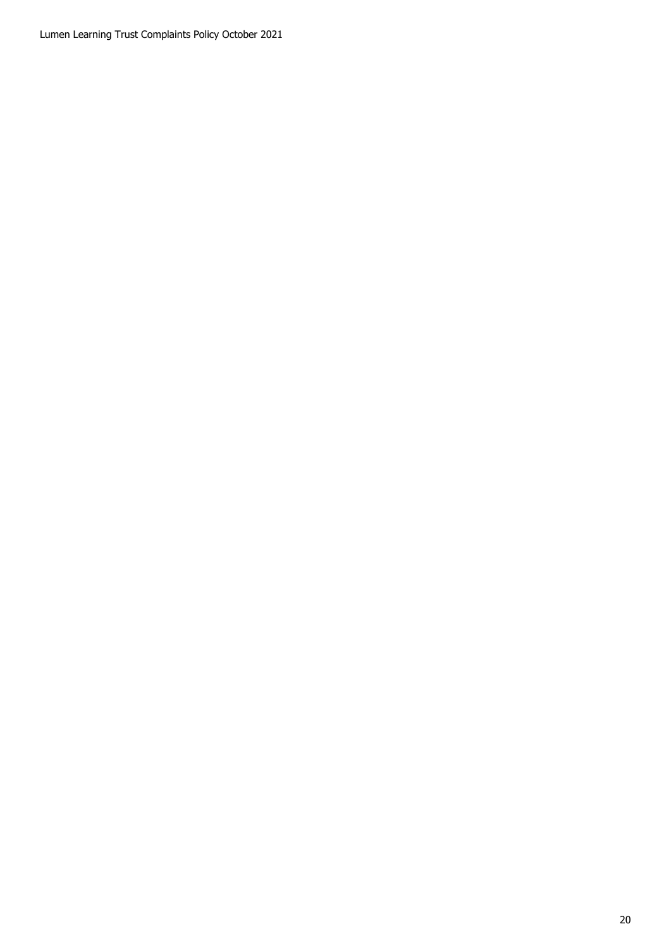Lumen Learning Trust Complaints Policy October 2021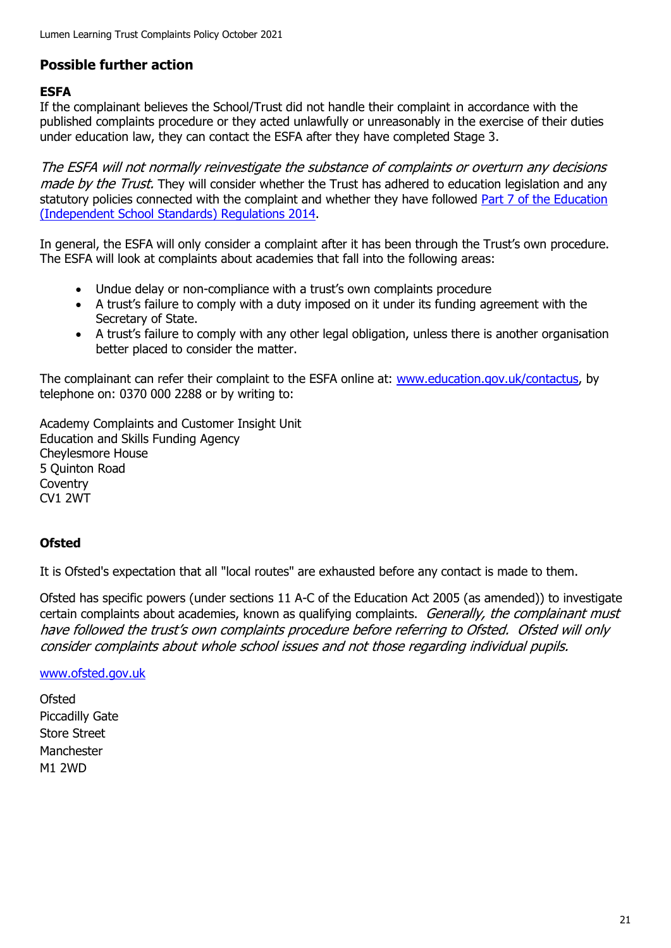# <span id="page-20-0"></span>**Possible further action**

#### **ESFA**

If the complainant believes the School/Trust did not handle their complaint in accordance with the published complaints procedure or they acted unlawfully or unreasonably in the exercise of their duties under education law, they can contact the ESFA after they have completed Stage 3.

The ESFA will not normally reinvestigate the substance of complaints or overturn any decisions made by the Trust. They will consider whether the Trust has adhered to education legislation and any statutory policies connected with the complaint and whether they have followed [Part 7 of the Education](http://www.legislation.gov.uk/uksi/2010/1997/schedule/1/made)  [\(Independent School Standards\) Regulations 2014.](http://www.legislation.gov.uk/uksi/2010/1997/schedule/1/made)

In general, the ESFA will only consider a complaint after it has been through the Trust's own procedure. The ESFA will look at complaints about academies that fall into the following areas:

- Undue delay or non-compliance with a trust's own complaints procedure
- A trust's failure to comply with a duty imposed on it under its funding agreement with the Secretary of State.
- A trust's failure to comply with any other legal obligation, unless there is another organisation better placed to consider the matter.

The complainant can refer their complaint to the ESFA online at: [www.education.gov.uk/contactus,](http://www.education.gov.uk/contactus) by telephone on: 0370 000 2288 or by writing to:

Academy Complaints and Customer Insight Unit Education and Skills Funding Agency Cheylesmore House 5 Quinton Road **Coventry** CV1 2WT

# **Ofsted**

It is Ofsted's expectation that all "local routes" are exhausted before any contact is made to them.

Ofsted has specific powers (under sections 11 A-C of the Education Act 2005 (as amended)) to investigate certain complaints about academies, known as qualifying complaints. Generally, the complainant must have followed the trust's own complaints procedure before referring to Ofsted. Ofsted will only consider complaints about whole school issues and not those regarding individual pupils.

[www.ofsted.gov.uk](http://www.ofsted.gov.uk/)

**Ofsted** Piccadilly Gate Store Street **Manchester** M1 2WD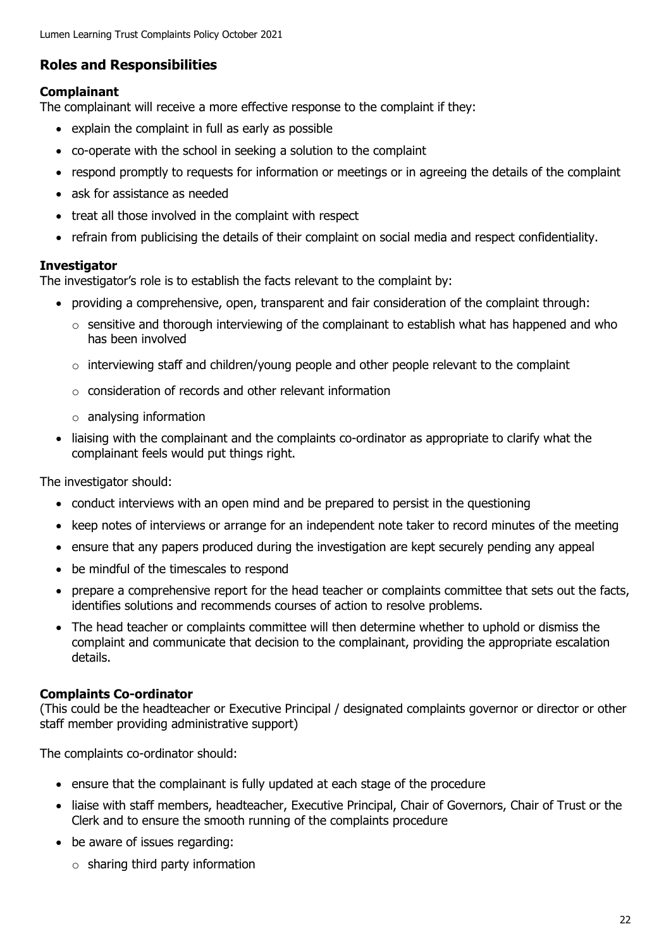# <span id="page-21-0"></span>**Roles and Responsibilities**

#### **Complainant**

The complainant will receive a more effective response to the complaint if they:

- explain the complaint in full as early as possible
- co-operate with the school in seeking a solution to the complaint
- respond promptly to requests for information or meetings or in agreeing the details of the complaint
- ask for assistance as needed
- treat all those involved in the complaint with respect
- refrain from publicising the details of their complaint on social media and respect confidentiality.

#### **Investigator**

The investigator's role is to establish the facts relevant to the complaint by:

- providing a comprehensive, open, transparent and fair consideration of the complaint through:
	- $\circ$  sensitive and thorough interviewing of the complainant to establish what has happened and who has been involved
	- $\circ$  interviewing staff and children/young people and other people relevant to the complaint
	- $\circ$  consideration of records and other relevant information
	- $\circ$  analysing information
- liaising with the complainant and the complaints co-ordinator as appropriate to clarify what the complainant feels would put things right.

The investigator should:

- conduct interviews with an open mind and be prepared to persist in the questioning
- keep notes of interviews or arrange for an independent note taker to record minutes of the meeting
- ensure that any papers produced during the investigation are kept securely pending any appeal
- be mindful of the timescales to respond
- prepare a comprehensive report for the head teacher or complaints committee that sets out the facts, identifies solutions and recommends courses of action to resolve problems.
- The head teacher or complaints committee will then determine whether to uphold or dismiss the complaint and communicate that decision to the complainant, providing the appropriate escalation details.

#### **Complaints Co-ordinator**

(This could be the headteacher or Executive Principal / designated complaints governor or director or other staff member providing administrative support)

The complaints co-ordinator should:

- ensure that the complainant is fully updated at each stage of the procedure
- liaise with staff members, headteacher, Executive Principal, Chair of Governors, Chair of Trust or the Clerk and to ensure the smooth running of the complaints procedure
- be aware of issues regarding:
	- $\circ$  sharing third party information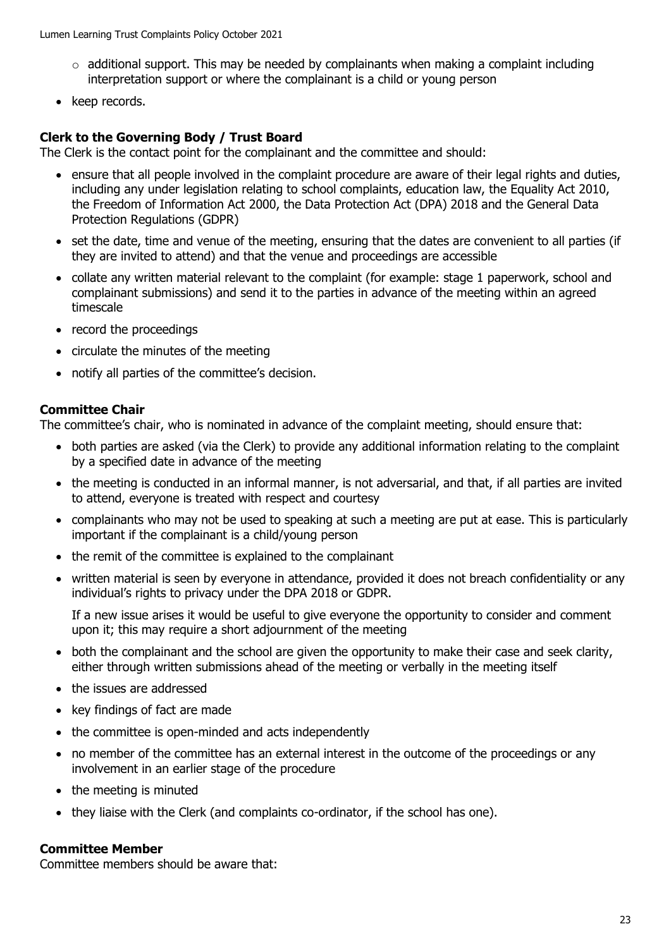Lumen Learning Trust Complaints Policy October 2021

- $\circ$  additional support. This may be needed by complainants when making a complaint including interpretation support or where the complainant is a child or young person
- keep records.

### **Clerk to the Governing Body / Trust Board**

The Clerk is the contact point for the complainant and the committee and should:

- ensure that all people involved in the complaint procedure are aware of their legal rights and duties, including any under legislation relating to school complaints, education law, the Equality Act 2010, the Freedom of Information Act 2000, the Data Protection Act (DPA) 2018 and the General Data Protection Regulations (GDPR)
- set the date, time and venue of the meeting, ensuring that the dates are convenient to all parties (if they are invited to attend) and that the venue and proceedings are accessible
- collate any written material relevant to the complaint (for example: stage 1 paperwork, school and complainant submissions) and send it to the parties in advance of the meeting within an agreed timescale
- record the proceedings
- circulate the minutes of the meeting
- notify all parties of the committee's decision.

#### **Committee Chair**

The committee's chair, who is nominated in advance of the complaint meeting, should ensure that:

- both parties are asked (via the Clerk) to provide any additional information relating to the complaint by a specified date in advance of the meeting
- the meeting is conducted in an informal manner, is not adversarial, and that, if all parties are invited to attend, everyone is treated with respect and courtesy
- complainants who may not be used to speaking at such a meeting are put at ease. This is particularly important if the complainant is a child/young person
- the remit of the committee is explained to the complainant
- written material is seen by everyone in attendance, provided it does not breach confidentiality or any individual's rights to privacy under the DPA 2018 or GDPR.

If a new issue arises it would be useful to give everyone the opportunity to consider and comment upon it; this may require a short adjournment of the meeting

- both the complainant and the school are given the opportunity to make their case and seek clarity, either through written submissions ahead of the meeting or verbally in the meeting itself
- the issues are addressed
- key findings of fact are made
- the committee is open-minded and acts independently
- no member of the committee has an external interest in the outcome of the proceedings or any involvement in an earlier stage of the procedure
- the meeting is minuted
- $\bullet$  they liaise with the Clerk (and complaints co-ordinator, if the school has one).

#### **Committee Member**

Committee members should be aware that: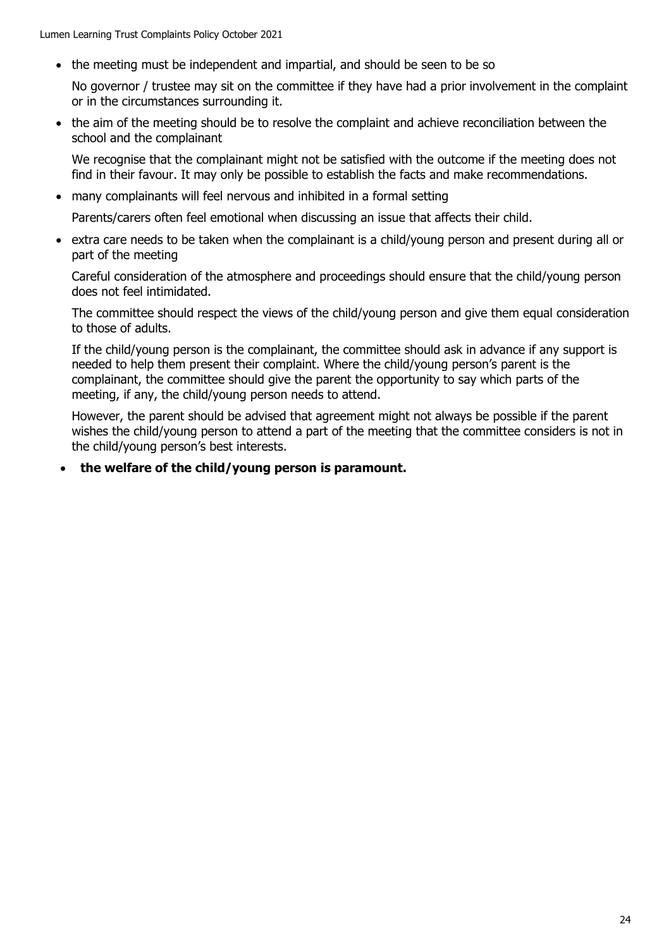• the meeting must be independent and impartial, and should be seen to be so

No governor / trustee may sit on the committee if they have had a prior involvement in the complaint or in the circumstances surrounding it.

• the aim of the meeting should be to resolve the complaint and achieve reconciliation between the school and the complainant

We recognise that the complainant might not be satisfied with the outcome if the meeting does not find in their favour. It may only be possible to establish the facts and make recommendations.

many complainants will feel nervous and inhibited in a formal setting

Parents/carers often feel emotional when discussing an issue that affects their child.

 extra care needs to be taken when the complainant is a child/young person and present during all or part of the meeting

Careful consideration of the atmosphere and proceedings should ensure that the child/young person does not feel intimidated.

The committee should respect the views of the child/young person and give them equal consideration to those of adults.

If the child/young person is the complainant, the committee should ask in advance if any support is needed to help them present their complaint. Where the child/young person's parent is the complainant, the committee should give the parent the opportunity to say which parts of the meeting, if any, the child/young person needs to attend.

However, the parent should be advised that agreement might not always be possible if the parent wishes the child/young person to attend a part of the meeting that the committee considers is not in the child/young person's best interests.

#### **the welfare of the child/young person is paramount.**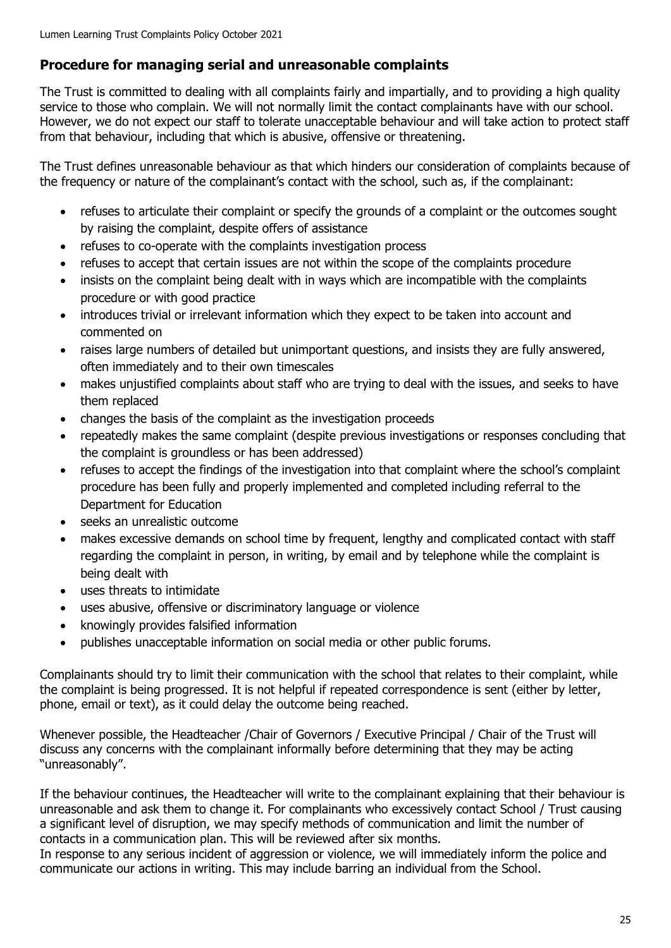# <span id="page-24-0"></span>**Procedure for managing serial and unreasonable complaints**

The Trust is committed to dealing with all complaints fairly and impartially, and to providing a high quality service to those who complain. We will not normally limit the contact complainants have with our school. However, we do not expect our staff to tolerate unacceptable behaviour and will take action to protect staff from that behaviour, including that which is abusive, offensive or threatening.

The Trust defines unreasonable behaviour as that which hinders our consideration of complaints because of the frequency or nature of the complainant's contact with the school, such as, if the complainant:

- refuses to articulate their complaint or specify the grounds of a complaint or the outcomes sought by raising the complaint, despite offers of assistance
- refuses to co-operate with the complaints investigation process
- refuses to accept that certain issues are not within the scope of the complaints procedure
- insists on the complaint being dealt with in ways which are incompatible with the complaints procedure or with good practice
- introduces trivial or irrelevant information which they expect to be taken into account and commented on
- raises large numbers of detailed but unimportant questions, and insists they are fully answered, often immediately and to their own timescales
- makes unjustified complaints about staff who are trying to deal with the issues, and seeks to have them replaced
- changes the basis of the complaint as the investigation proceeds
- repeatedly makes the same complaint (despite previous investigations or responses concluding that the complaint is groundless or has been addressed)
- refuses to accept the findings of the investigation into that complaint where the school's complaint procedure has been fully and properly implemented and completed including referral to the Department for Education
- seeks an unrealistic outcome
- makes excessive demands on school time by frequent, lengthy and complicated contact with staff regarding the complaint in person, in writing, by email and by telephone while the complaint is being dealt with
- uses threats to intimidate
- uses abusive, offensive or discriminatory language or violence
- knowingly provides falsified information
- publishes unacceptable information on social media or other public forums.

Complainants should try to limit their communication with the school that relates to their complaint, while the complaint is being progressed. It is not helpful if repeated correspondence is sent (either by letter, phone, email or text), as it could delay the outcome being reached.

Whenever possible, the Headteacher /Chair of Governors / Executive Principal / Chair of the Trust will discuss any concerns with the complainant informally before determining that they may be acting "unreasonably".

If the behaviour continues, the Headteacher will write to the complainant explaining that their behaviour is unreasonable and ask them to change it. For complainants who excessively contact School / Trust causing a significant level of disruption, we may specify methods of communication and limit the number of contacts in a communication plan. This will be reviewed after six months.

In response to any serious incident of aggression or violence, we will immediately inform the police and communicate our actions in writing. This may include barring an individual from the School.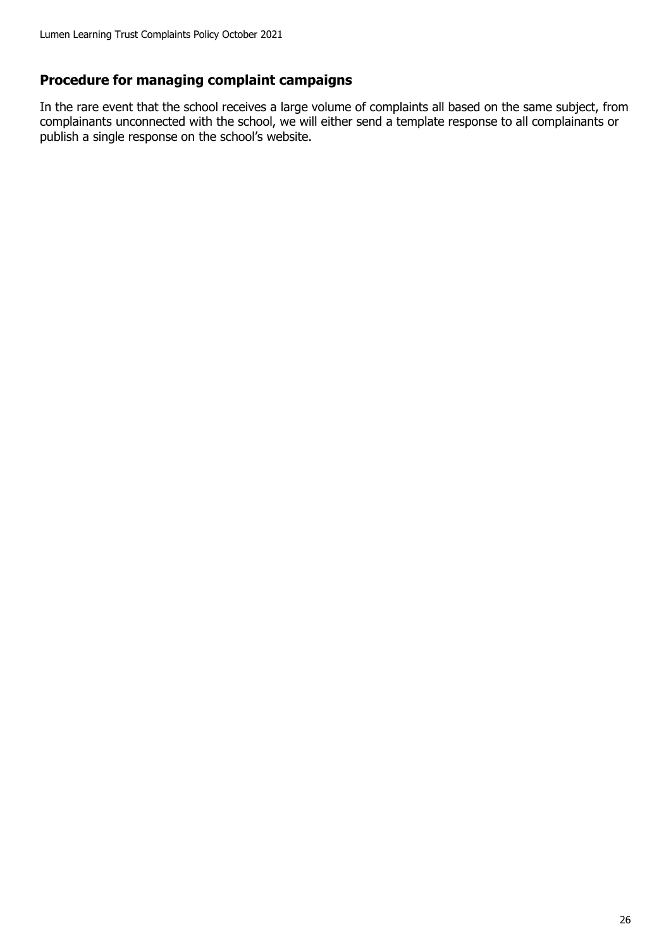# <span id="page-25-0"></span>**Procedure for managing complaint campaigns**

In the rare event that the school receives a large volume of complaints all based on the same subject, from complainants unconnected with the school, we will either send a template response to all complainants or publish a single response on the school's website.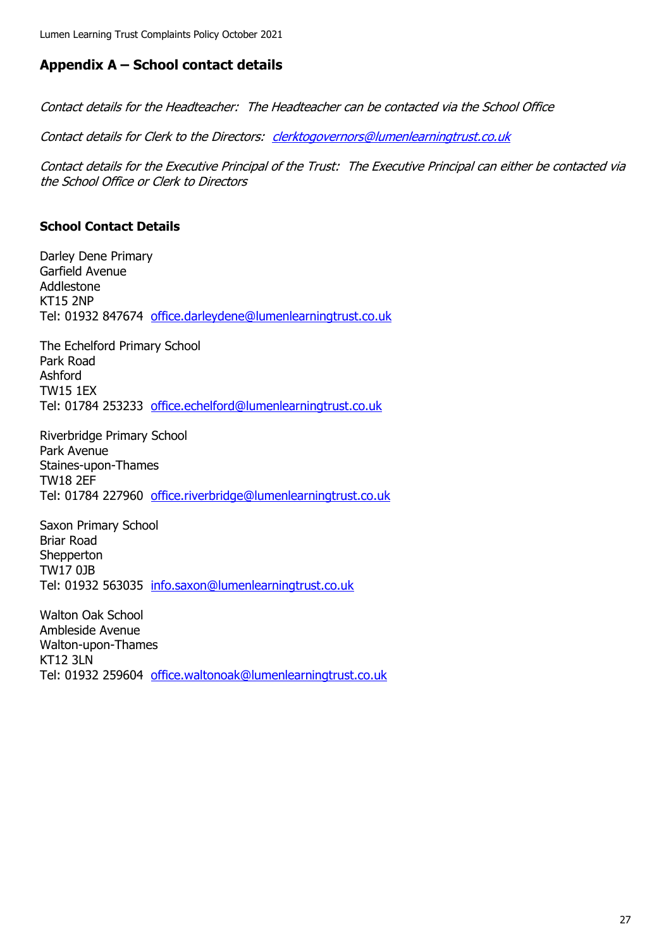# <span id="page-26-0"></span>**Appendix A – School contact details**

Contact details for the Headteacher: The Headteacher can be contacted via the School Office

Contact details for Clerk to the Directors: [clerktogovernors@lumenlearningtrust.co.uk](mailto:clerktogovernors@lumenlearningtrust.co.uk)

Contact details for the Executive Principal of the Trust: The Executive Principal can either be contacted via the School Office or Clerk to Directors

#### **School Contact Details**

Darley Dene Primary Garfield Avenue Addlestone KT15 2NP Tel: 01932 847674 [office.darleydene@lumenlearningtrust.co.uk](mailto:office.darleydene@lumenlearningtrust.co.uk)

The Echelford Primary School Park Road Ashford TW15 1EX Tel: 01784 253233 [office.echelford@lumenlearningtrust.co.uk](mailto:office.echelford@lumenlearningtrust.co.uk)

Riverbridge Primary School Park Avenue Staines-upon-Thames TW18 2EF Tel: 01784 227960 [office.riverbridge@lumenlearningtrust.co.uk](mailto:office.riverbridge@lumenlearningtrust.co.uk)

Saxon Primary School Briar Road **Shepperton** TW17 0JB Tel: 01932 563035 [info.saxon@lumenlearningtrust.co.uk](mailto:info.saxon@lumenlearningtrust.co.uk)

Walton Oak School Ambleside Avenue Walton-upon-Thames KT12 3LN Tel: 01932 259604 [office.waltonoak@lumenlearningtrust.co.uk](mailto:office.waltonoak@lumenlearningtrust.co.uk)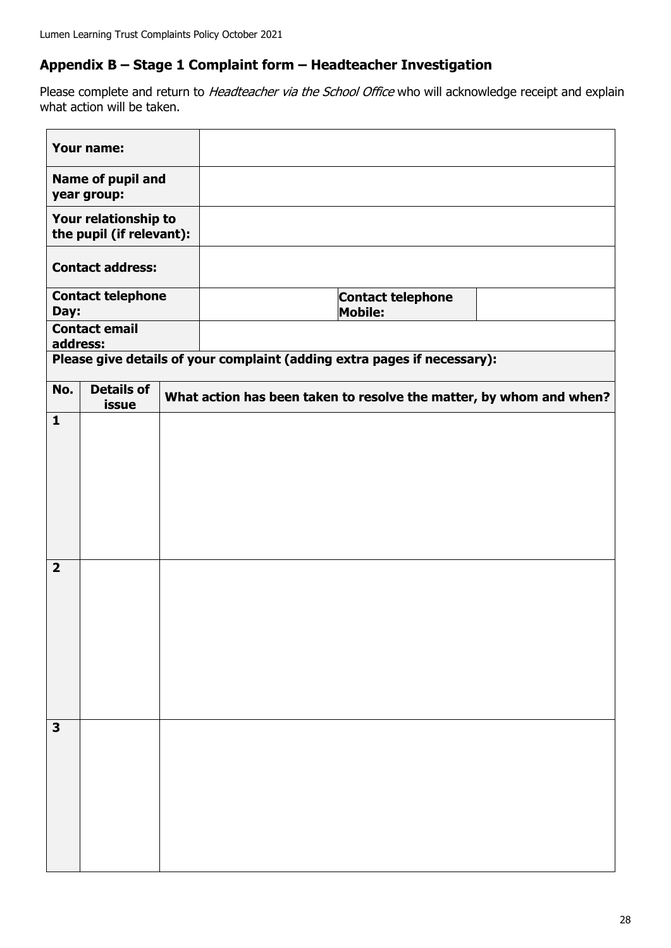# <span id="page-27-0"></span>**Appendix B – Stage 1 Complaint form – Headteacher Investigation**

Please complete and return to *Headteacher via the School Office* who will acknowledge receipt and explain what action will be taken.

|                         | Your name:                                       |  |                                                                          |  |  |
|-------------------------|--------------------------------------------------|--|--------------------------------------------------------------------------|--|--|
|                         | Name of pupil and<br>year group:                 |  |                                                                          |  |  |
|                         | Your relationship to<br>the pupil (if relevant): |  |                                                                          |  |  |
|                         | <b>Contact address:</b>                          |  |                                                                          |  |  |
| Day:                    | <b>Contact telephone</b>                         |  | <b>Contact telephone</b><br><b>Mobile:</b>                               |  |  |
| address:                | <b>Contact email</b>                             |  |                                                                          |  |  |
|                         |                                                  |  | Please give details of your complaint (adding extra pages if necessary): |  |  |
| No.                     | <b>Details of</b><br>issue                       |  | What action has been taken to resolve the matter, by whom and when?      |  |  |
| $\mathbf{1}$            |                                                  |  |                                                                          |  |  |
|                         |                                                  |  |                                                                          |  |  |
|                         |                                                  |  |                                                                          |  |  |
|                         |                                                  |  |                                                                          |  |  |
|                         |                                                  |  |                                                                          |  |  |
|                         |                                                  |  |                                                                          |  |  |
|                         |                                                  |  |                                                                          |  |  |
| $\overline{\mathbf{2}}$ |                                                  |  |                                                                          |  |  |
|                         |                                                  |  |                                                                          |  |  |
|                         |                                                  |  |                                                                          |  |  |
|                         |                                                  |  |                                                                          |  |  |
|                         |                                                  |  |                                                                          |  |  |
|                         |                                                  |  |                                                                          |  |  |
|                         |                                                  |  |                                                                          |  |  |
| $\overline{\mathbf{3}}$ |                                                  |  |                                                                          |  |  |
|                         |                                                  |  |                                                                          |  |  |
|                         |                                                  |  |                                                                          |  |  |
|                         |                                                  |  |                                                                          |  |  |
|                         |                                                  |  |                                                                          |  |  |
|                         |                                                  |  |                                                                          |  |  |
|                         |                                                  |  |                                                                          |  |  |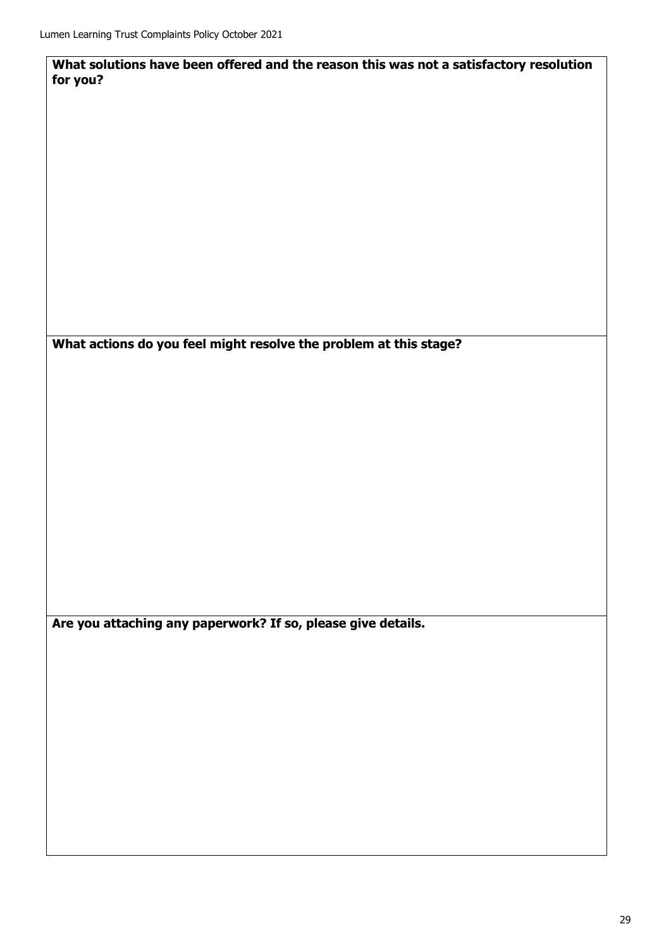**What solutions have been offered and the reason this was not a satisfactory resolution for you?**

**What actions do you feel might resolve the problem at this stage?**

**Are you attaching any paperwork? If so, please give details.**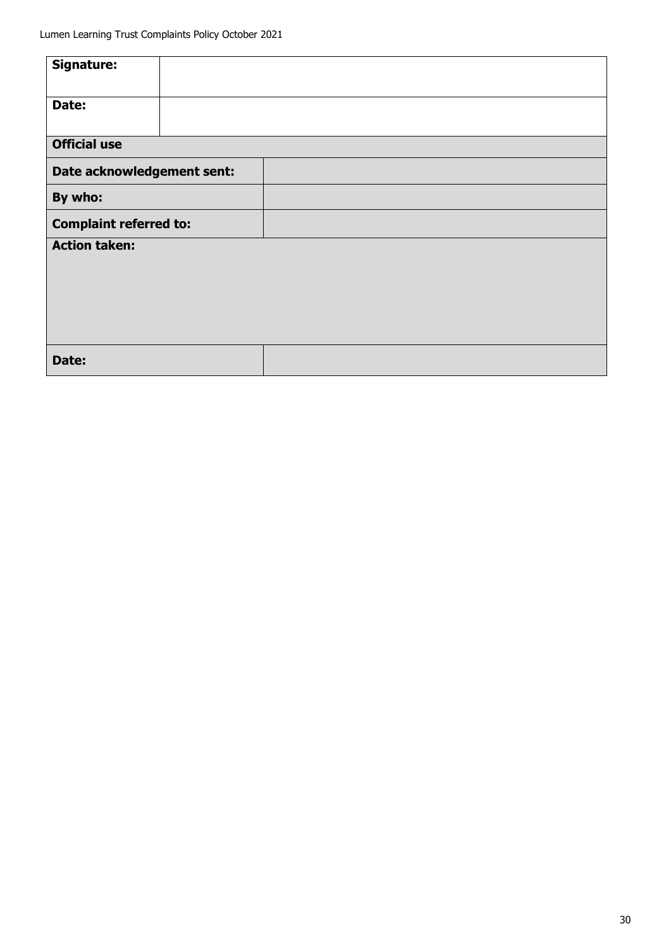| <b>Signature:</b>             |  |  |
|-------------------------------|--|--|
| Date:                         |  |  |
| <b>Official use</b>           |  |  |
| Date acknowledgement sent:    |  |  |
| By who:                       |  |  |
| <b>Complaint referred to:</b> |  |  |
| <b>Action taken:</b>          |  |  |
|                               |  |  |
|                               |  |  |
|                               |  |  |
| Date:                         |  |  |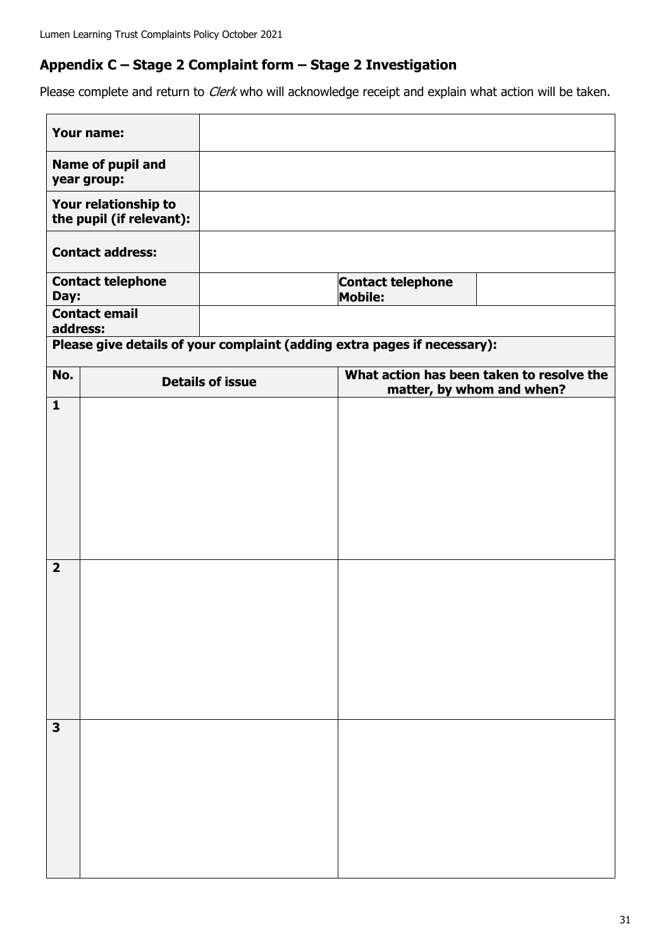# <span id="page-30-0"></span>**Appendix C – Stage 2 Complaint form – Stage 2 Investigation**

Please complete and return to Clerk who will acknowledge receipt and explain what action will be taken.

|                         | <b>Your name:</b>                                |                         |                                                                          |                                                                        |
|-------------------------|--------------------------------------------------|-------------------------|--------------------------------------------------------------------------|------------------------------------------------------------------------|
|                         | Name of pupil and<br>year group:                 |                         |                                                                          |                                                                        |
|                         | Your relationship to<br>the pupil (if relevant): |                         |                                                                          |                                                                        |
|                         | <b>Contact address:</b>                          |                         |                                                                          |                                                                        |
| Day:                    | <b>Contact telephone</b>                         |                         | <b>Contact telephone</b><br><b>Mobile:</b>                               |                                                                        |
| address:                | <b>Contact email</b>                             |                         |                                                                          |                                                                        |
|                         |                                                  |                         | Please give details of your complaint (adding extra pages if necessary): |                                                                        |
| No.                     |                                                  | <b>Details of issue</b> |                                                                          | What action has been taken to resolve the<br>matter, by whom and when? |
| $\mathbf{1}$            |                                                  |                         |                                                                          |                                                                        |
|                         |                                                  |                         |                                                                          |                                                                        |
|                         |                                                  |                         |                                                                          |                                                                        |
|                         |                                                  |                         |                                                                          |                                                                        |
|                         |                                                  |                         |                                                                          |                                                                        |
| $\overline{2}$          |                                                  |                         |                                                                          |                                                                        |
|                         |                                                  |                         |                                                                          |                                                                        |
|                         |                                                  |                         |                                                                          |                                                                        |
|                         |                                                  |                         |                                                                          |                                                                        |
|                         |                                                  |                         |                                                                          |                                                                        |
| $\overline{\mathbf{3}}$ |                                                  |                         |                                                                          |                                                                        |
|                         |                                                  |                         |                                                                          |                                                                        |
|                         |                                                  |                         |                                                                          |                                                                        |
|                         |                                                  |                         |                                                                          |                                                                        |
|                         |                                                  |                         |                                                                          |                                                                        |
|                         |                                                  |                         |                                                                          |                                                                        |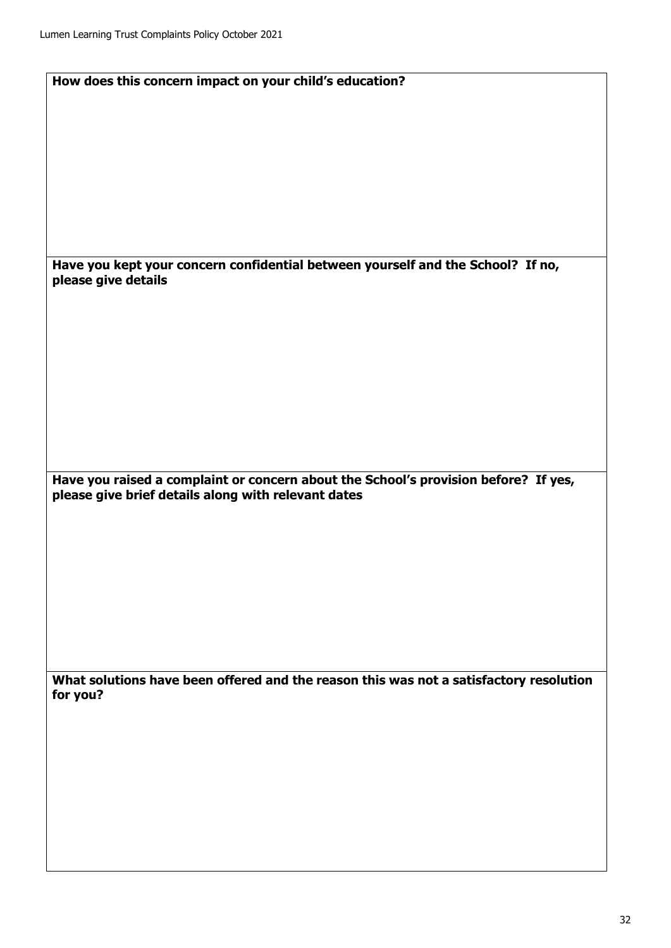| How does this concern impact on your child's education?                                |
|----------------------------------------------------------------------------------------|
|                                                                                        |
|                                                                                        |
|                                                                                        |
|                                                                                        |
|                                                                                        |
|                                                                                        |
|                                                                                        |
|                                                                                        |
|                                                                                        |
|                                                                                        |
|                                                                                        |
|                                                                                        |
|                                                                                        |
|                                                                                        |
| Have you kept your concern confidential between yourself and the School? If no,        |
| please give details                                                                    |
|                                                                                        |
|                                                                                        |
|                                                                                        |
|                                                                                        |
|                                                                                        |
|                                                                                        |
|                                                                                        |
|                                                                                        |
|                                                                                        |
|                                                                                        |
|                                                                                        |
|                                                                                        |
|                                                                                        |
|                                                                                        |
|                                                                                        |
|                                                                                        |
|                                                                                        |
| Have you raised a complaint or concern about the School's provision before? If yes,    |
| please give brief details along with relevant dates                                    |
|                                                                                        |
|                                                                                        |
|                                                                                        |
|                                                                                        |
|                                                                                        |
|                                                                                        |
|                                                                                        |
|                                                                                        |
|                                                                                        |
|                                                                                        |
|                                                                                        |
|                                                                                        |
|                                                                                        |
|                                                                                        |
| What solutions have been offered and the reason this was not a satisfactory resolution |
| for you?                                                                               |
|                                                                                        |
|                                                                                        |
|                                                                                        |
|                                                                                        |
|                                                                                        |
|                                                                                        |
|                                                                                        |
|                                                                                        |
|                                                                                        |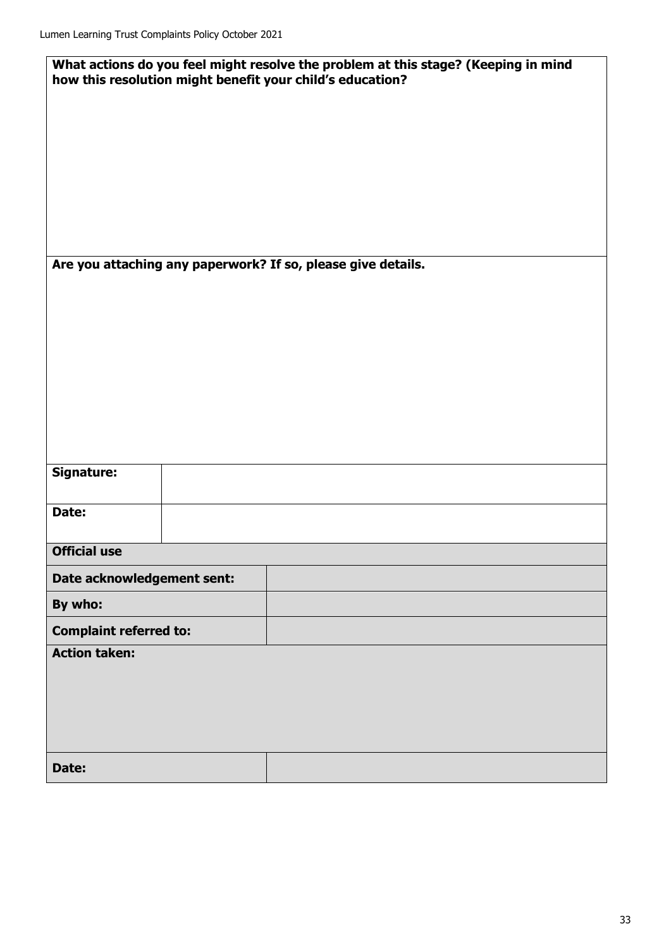| What actions do you feel might resolve the problem at this stage? (Keeping in mind<br>how this resolution might benefit your child's education? |                                                              |  |
|-------------------------------------------------------------------------------------------------------------------------------------------------|--------------------------------------------------------------|--|
|                                                                                                                                                 |                                                              |  |
|                                                                                                                                                 |                                                              |  |
|                                                                                                                                                 |                                                              |  |
|                                                                                                                                                 |                                                              |  |
|                                                                                                                                                 |                                                              |  |
|                                                                                                                                                 |                                                              |  |
|                                                                                                                                                 |                                                              |  |
|                                                                                                                                                 | Are you attaching any paperwork? If so, please give details. |  |
|                                                                                                                                                 |                                                              |  |
|                                                                                                                                                 |                                                              |  |
|                                                                                                                                                 |                                                              |  |
|                                                                                                                                                 |                                                              |  |
|                                                                                                                                                 |                                                              |  |
|                                                                                                                                                 |                                                              |  |
|                                                                                                                                                 |                                                              |  |
|                                                                                                                                                 |                                                              |  |
| <b>Signature:</b>                                                                                                                               |                                                              |  |
|                                                                                                                                                 |                                                              |  |
| Date:                                                                                                                                           |                                                              |  |
| <b>Official use</b>                                                                                                                             |                                                              |  |
|                                                                                                                                                 |                                                              |  |
| Date acknowledgement sent:                                                                                                                      |                                                              |  |
| By who:                                                                                                                                         |                                                              |  |
| <b>Complaint referred to:</b>                                                                                                                   |                                                              |  |
| <b>Action taken:</b>                                                                                                                            |                                                              |  |
|                                                                                                                                                 |                                                              |  |
|                                                                                                                                                 |                                                              |  |
|                                                                                                                                                 |                                                              |  |
|                                                                                                                                                 |                                                              |  |
| Date:                                                                                                                                           |                                                              |  |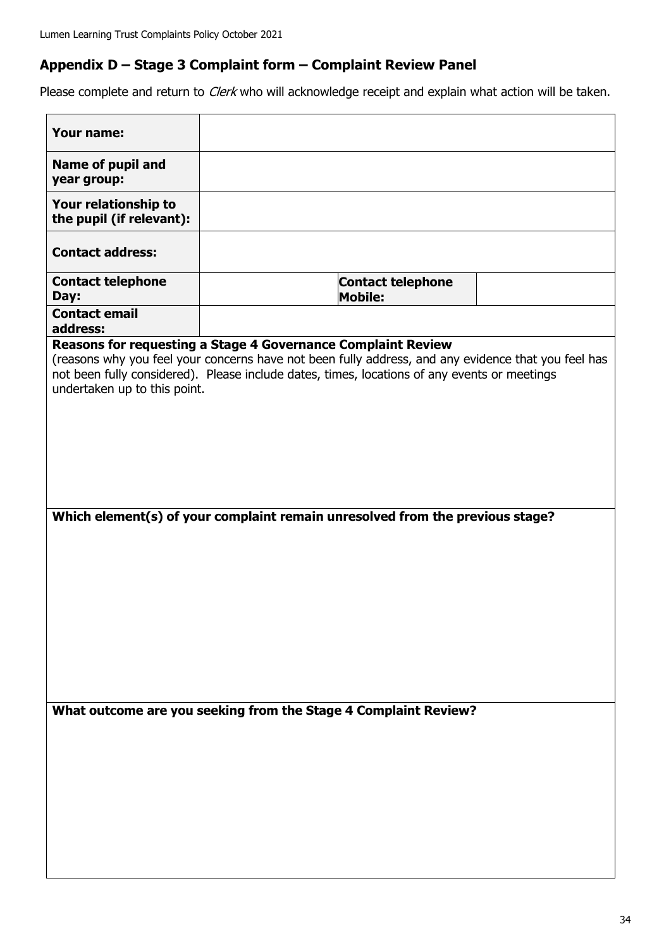# <span id="page-33-0"></span>**Appendix D – Stage 3 Complaint form – Complaint Review Panel**

Please complete and return to Clerk who will acknowledge receipt and explain what action will be taken.

| <b>Your name:</b>                                |                                                                                                                                                                                                                                                                     |  |
|--------------------------------------------------|---------------------------------------------------------------------------------------------------------------------------------------------------------------------------------------------------------------------------------------------------------------------|--|
| <b>Name of pupil and</b><br>year group:          |                                                                                                                                                                                                                                                                     |  |
| Your relationship to<br>the pupil (if relevant): |                                                                                                                                                                                                                                                                     |  |
| <b>Contact address:</b>                          |                                                                                                                                                                                                                                                                     |  |
| <b>Contact telephone</b><br>Day:                 | <b>Contact telephone</b><br><b>Mobile:</b>                                                                                                                                                                                                                          |  |
| <b>Contact email</b><br>address:                 |                                                                                                                                                                                                                                                                     |  |
| undertaken up to this point.                     | Reasons for requesting a Stage 4 Governance Complaint Review<br>(reasons why you feel your concerns have not been fully address, and any evidence that you feel has<br>not been fully considered). Please include dates, times, locations of any events or meetings |  |
|                                                  |                                                                                                                                                                                                                                                                     |  |
|                                                  | Which element(s) of your complaint remain unresolved from the previous stage?                                                                                                                                                                                       |  |
|                                                  | What outcome are you seeking from the Stage 4 Complaint Review?                                                                                                                                                                                                     |  |